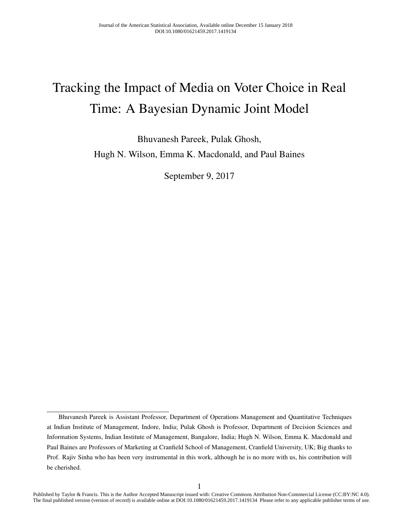# Tracking the Impact of Media on Voter Choice in Real Time: A Bayesian Dynamic Joint Model

Bhuvanesh Pareek, Pulak Ghosh, Hugh N. Wilson, Emma K. Macdonald, and Paul Baines

September 9, 2017

Bhuvanesh Pareek is Assistant Professor, Department of Operations Management and Quantitative Techniques at Indian Institute of Management, Indore, India; Pulak Ghosh is Professor, Department of Decision Sciences and Information Systems, Indian Institute of Management, Bangalore, India; Hugh N. Wilson, Emma K. Macdonald and Paul Baines are Professors of Marketing at Cranfield School of Management, Cranfield University, UK; Big thanks to Prof. Rajiv Sinha who has been very instrumental in this work, although he is no more with us, his contribution will be cherished.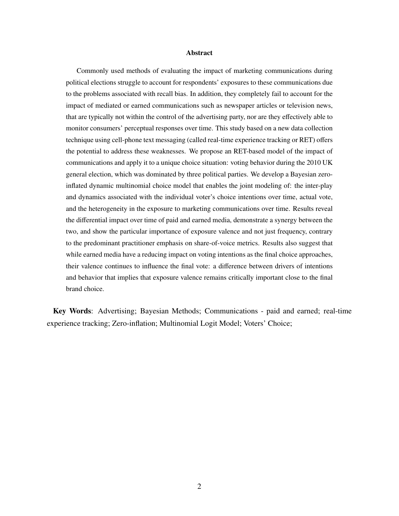#### Abstract

Commonly used methods of evaluating the impact of marketing communications during political elections struggle to account for respondents' exposures to these communications due to the problems associated with recall bias. In addition, they completely fail to account for the impact of mediated or earned communications such as newspaper articles or television news, that are typically not within the control of the advertising party, nor are they effectively able to monitor consumers' perceptual responses over time. This study based on a new data collection technique using cell-phone text messaging (called real-time experience tracking or RET) offers the potential to address these weaknesses. We propose an RET-based model of the impact of communications and apply it to a unique choice situation: voting behavior during the 2010 UK general election, which was dominated by three political parties. We develop a Bayesian zeroinflated dynamic multinomial choice model that enables the joint modeling of: the inter-play and dynamics associated with the individual voter's choice intentions over time, actual vote, and the heterogeneity in the exposure to marketing communications over time. Results reveal the differential impact over time of paid and earned media, demonstrate a synergy between the two, and show the particular importance of exposure valence and not just frequency, contrary to the predominant practitioner emphasis on share-of-voice metrics. Results also suggest that while earned media have a reducing impact on voting intentions as the final choice approaches, their valence continues to influence the final vote: a difference between drivers of intentions and behavior that implies that exposure valence remains critically important close to the final brand choice.

Key Words: Advertising; Bayesian Methods; Communications - paid and earned; real-time experience tracking; Zero-inflation; Multinomial Logit Model; Voters' Choice;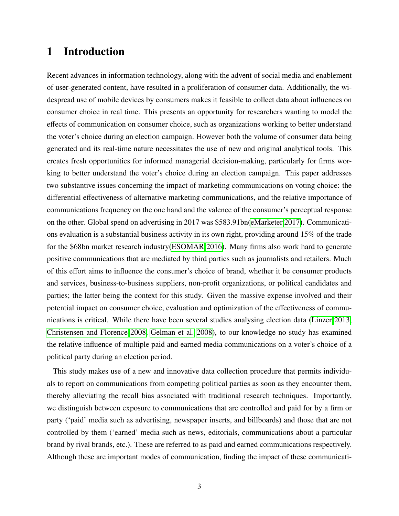## 1 Introduction

Recent advances in information technology, along with the advent of social media and enablement of user-generated content, have resulted in a proliferation of consumer data. Additionally, the widespread use of mobile devices by consumers makes it feasible to collect data about influences on consumer choice in real time. This presents an opportunity for researchers wanting to model the effects of communication on consumer choice, such as organizations working to better understand the voter's choice during an election campaign. However both the volume of consumer data being generated and its real-time nature necessitates the use of new and original analytical tools. This creates fresh opportunities for informed managerial decision-making, particularly for firms working to better understand the voter's choice during an election campaign. This paper addresses two substantive issues concerning the impact of marketing communications on voting choice: the differential effectiveness of alternative marketing communications, and the relative importance of communications frequency on the one hand and the valence of the consumer's perceptual response on the other. Global spend on advertising in 2017 was \$583.91bn[\(eMarketer 2017\)](#page-41-0). Communications evaluation is a substantial business activity in its own right, providing around 15% of the trade for the \$68bn market research industry[\(ESOMAR 2016\)](#page-41-1). Many firms also work hard to generate positive communications that are mediated by third parties such as journalists and retailers. Much of this effort aims to influence the consumer's choice of brand, whether it be consumer products and services, business-to-business suppliers, non-profit organizations, or political candidates and parties; the latter being the context for this study. Given the massive expense involved and their potential impact on consumer choice, evaluation and optimization of the effectiveness of communications is critical. While there have been several studies analysing election data [\(Linzer 2013,](#page-42-0) [Christensen and Florence 2008,](#page-40-0) [Gelman et al. 2008\)](#page-41-2), to our knowledge no study has examined the relative influence of multiple paid and earned media communications on a voter's choice of a political party during an election period.

This study makes use of a new and innovative data collection procedure that permits individuals to report on communications from competing political parties as soon as they encounter them, thereby alleviating the recall bias associated with traditional research techniques. Importantly, we distinguish between exposure to communications that are controlled and paid for by a firm or party ('paid' media such as advertising, newspaper inserts, and billboards) and those that are not controlled by them ('earned' media such as news, editorials, communications about a particular brand by rival brands, etc.). These are referred to as paid and earned communications respectively. Although these are important modes of communication, finding the impact of these communicati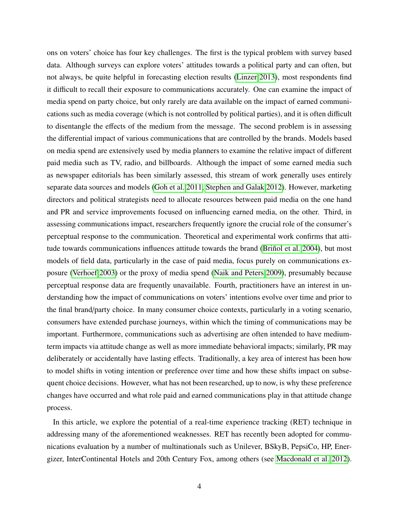ons on voters' choice has four key challenges. The first is the typical problem with survey based data. Although surveys can explore voters' attitudes towards a political party and can often, but not always, be quite helpful in forecasting election results [\(Linzer 2013\)](#page-42-0), most respondents find it difficult to recall their exposure to communications accurately. One can examine the impact of media spend on party choice, but only rarely are data available on the impact of earned communications such as media coverage (which is not controlled by political parties), and it is often difficult to disentangle the effects of the medium from the message. The second problem is in assessing the differential impact of various communications that are controlled by the brands. Models based on media spend are extensively used by media planners to examine the relative impact of different paid media such as TV, radio, and billboards. Although the impact of some earned media such as newspaper editorials has been similarly assessed, this stream of work generally uses entirely separate data sources and models [\(Goh et al. 2011,](#page-41-3) [Stephen and Galak 2012\)](#page-43-0). However, marketing directors and political strategists need to allocate resources between paid media on the one hand and PR and service improvements focused on influencing earned media, on the other. Third, in assessing communications impact, researchers frequently ignore the crucial role of the consumer's perceptual response to the communication. Theoretical and experimental work confirms that atti-tude towards communications influences attitude towards the brand [\(Brinol et al. 2004\)](#page-40-1), but most models of field data, particularly in the case of paid media, focus purely on communications exposure [\(Verhoef 2003\)](#page-43-1) or the proxy of media spend [\(Naik and Peters 2009\)](#page-42-1), presumably because perceptual response data are frequently unavailable. Fourth, practitioners have an interest in understanding how the impact of communications on voters' intentions evolve over time and prior to the final brand/party choice. In many consumer choice contexts, particularly in a voting scenario, consumers have extended purchase journeys, within which the timing of communications may be important. Furthermore, communications such as advertising are often intended to have mediumterm impacts via attitude change as well as more immediate behavioral impacts; similarly, PR may deliberately or accidentally have lasting effects. Traditionally, a key area of interest has been how to model shifts in voting intention or preference over time and how these shifts impact on subsequent choice decisions. However, what has not been researched, up to now, is why these preference changes have occurred and what role paid and earned communications play in that attitude change process.

In this article, we explore the potential of a real-time experience tracking (RET) technique in addressing many of the aforementioned weaknesses. RET has recently been adopted for communications evaluation by a number of multinationals such as Unilever, BSkyB, PepsiCo, HP, Energizer, InterContinental Hotels and 20th Century Fox, among others (see [Macdonald et al. 2012\)](#page-42-2).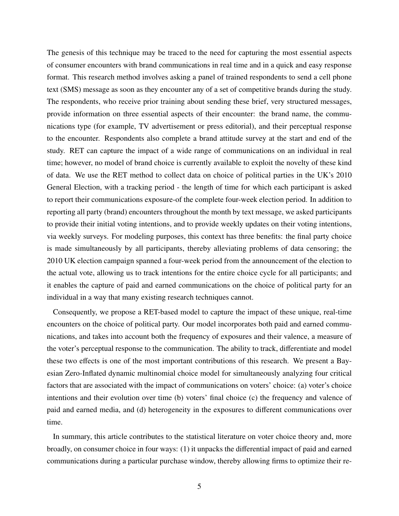The genesis of this technique may be traced to the need for capturing the most essential aspects of consumer encounters with brand communications in real time and in a quick and easy response format. This research method involves asking a panel of trained respondents to send a cell phone text (SMS) message as soon as they encounter any of a set of competitive brands during the study. The respondents, who receive prior training about sending these brief, very structured messages, provide information on three essential aspects of their encounter: the brand name, the communications type (for example, TV advertisement or press editorial), and their perceptual response to the encounter. Respondents also complete a brand attitude survey at the start and end of the study. RET can capture the impact of a wide range of communications on an individual in real time; however, no model of brand choice is currently available to exploit the novelty of these kind of data. We use the RET method to collect data on choice of political parties in the UK's 2010 General Election, with a tracking period - the length of time for which each participant is asked to report their communications exposure-of the complete four-week election period. In addition to reporting all party (brand) encounters throughout the month by text message, we asked participants to provide their initial voting intentions, and to provide weekly updates on their voting intentions, via weekly surveys. For modeling purposes, this context has three benefits: the final party choice is made simultaneously by all participants, thereby alleviating problems of data censoring; the 2010 UK election campaign spanned a four-week period from the announcement of the election to the actual vote, allowing us to track intentions for the entire choice cycle for all participants; and it enables the capture of paid and earned communications on the choice of political party for an individual in a way that many existing research techniques cannot.

Consequently, we propose a RET-based model to capture the impact of these unique, real-time encounters on the choice of political party. Our model incorporates both paid and earned communications, and takes into account both the frequency of exposures and their valence, a measure of the voter's perceptual response to the communication. The ability to track, differentiate and model these two effects is one of the most important contributions of this research. We present a Bayesian Zero-Inflated dynamic multinomial choice model for simultaneously analyzing four critical factors that are associated with the impact of communications on voters' choice: (a) voter's choice intentions and their evolution over time (b) voters' final choice (c) the frequency and valence of paid and earned media, and (d) heterogeneity in the exposures to different communications over time.

In summary, this article contributes to the statistical literature on voter choice theory and, more broadly, on consumer choice in four ways: (1) it unpacks the differential impact of paid and earned communications during a particular purchase window, thereby allowing firms to optimize their re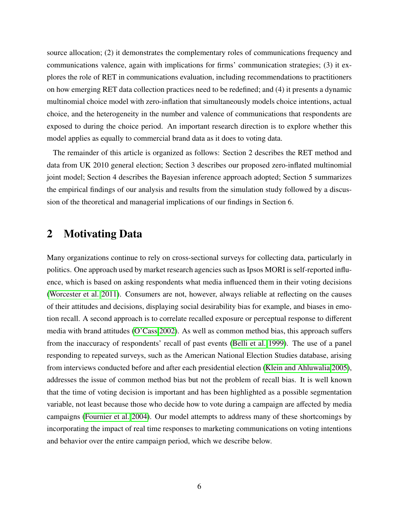source allocation; (2) it demonstrates the complementary roles of communications frequency and communications valence, again with implications for firms' communication strategies; (3) it explores the role of RET in communications evaluation, including recommendations to practitioners on how emerging RET data collection practices need to be redefined; and (4) it presents a dynamic multinomial choice model with zero-inflation that simultaneously models choice intentions, actual choice, and the heterogeneity in the number and valence of communications that respondents are exposed to during the choice period. An important research direction is to explore whether this model applies as equally to commercial brand data as it does to voting data.

The remainder of this article is organized as follows: Section 2 describes the RET method and data from UK 2010 general election; Section 3 describes our proposed zero-inflated multinomial joint model; Section 4 describes the Bayesian inference approach adopted; Section 5 summarizes the empirical findings of our analysis and results from the simulation study followed by a discussion of the theoretical and managerial implications of our findings in Section 6.

## 2 Motivating Data

Many organizations continue to rely on cross-sectional surveys for collecting data, particularly in politics. One approach used by market research agencies such as Ipsos MORI is self-reported influence, which is based on asking respondents what media influenced them in their voting decisions [\(Worcester et al. 2011\)](#page-43-2). Consumers are not, however, always reliable at reflecting on the causes of their attitudes and decisions, displaying social desirability bias for example, and biases in emotion recall. A second approach is to correlate recalled exposure or perceptual response to different media with brand attitudes [\(O'Cass 2002\)](#page-42-3). As well as common method bias, this approach suffers from the inaccuracy of respondents' recall of past events [\(Belli et al. 1999\)](#page-40-2). The use of a panel responding to repeated surveys, such as the American National Election Studies database, arising from interviews conducted before and after each presidential election [\(Klein and Ahluwalia 2005\)](#page-42-4), addresses the issue of common method bias but not the problem of recall bias. It is well known that the time of voting decision is important and has been highlighted as a possible segmentation variable, not least because those who decide how to vote during a campaign are affected by media campaigns [\(Fournier et al. 2004\)](#page-41-4). Our model attempts to address many of these shortcomings by incorporating the impact of real time responses to marketing communications on voting intentions and behavior over the entire campaign period, which we describe below.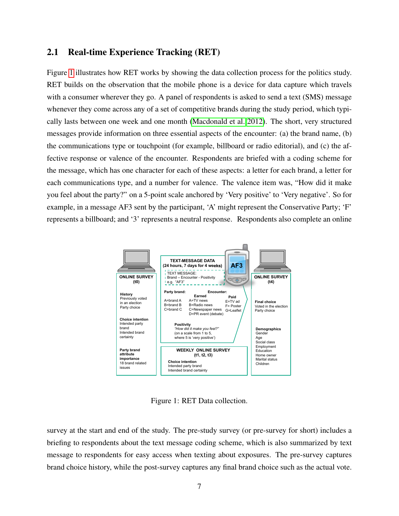#### 2.1 Real-time Experience Tracking (RET)

Figure [1](#page-6-0) illustrates how RET works by showing the data collection process for the politics study. RET builds on the observation that the mobile phone is a device for data capture which travels with a consumer wherever they go. A panel of respondents is asked to send a text (SMS) message whenever they come across any of a set of competitive brands during the study period, which typically lasts between one week and one month [\(Macdonald et al. 2012\)](#page-42-2). The short, very structured messages provide information on three essential aspects of the encounter: (a) the brand name, (b) the communications type or touchpoint (for example, billboard or radio editorial), and (c) the affective response or valence of the encounter. Respondents are briefed with a coding scheme for the message, which has one character for each of these aspects: a letter for each brand, a letter for each communications type, and a number for valence. The valence item was, "How did it make you feel about the party?" on a 5-point scale anchored by 'Very positive' to 'Very negative'. So for example, in a message AF3 sent by the participant, 'A' might represent the Conservative Party; 'F' represents a billboard; and '3' represents a neutral response. Respondents also complete an online

<span id="page-6-0"></span>

Figure 1: RET Data collection.

survey at the start and end of the study. The pre-study survey (or pre-survey for short) includes a briefing to respondents about the text message coding scheme, which is also summarized by text message to respondents for easy access when texting about exposures. The pre-survey captures brand choice history, while the post-survey captures any final brand choice such as the actual vote.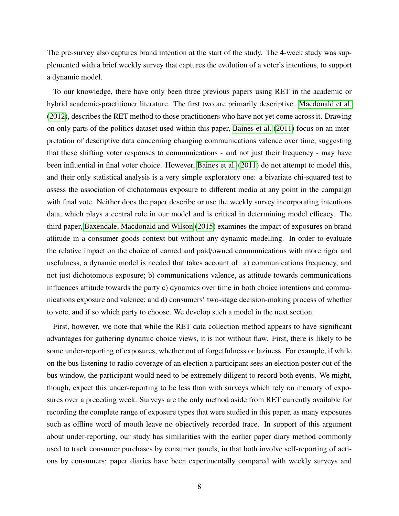The pre-survey also captures brand intention at the start of the study. The 4-week study was supplemented with a brief weekly survey that captures the evolution of a voter's intentions, to support a dynamic model.

To our knowledge, there have only been three previous papers using RET in the academic or hybrid academic-practitioner literature. The first two are primarily descriptive. [Macdonald et al.](#page-42-2) [\(2012\)](#page-42-2), describes the RET method to those practitioners who have not yet come across it. Drawing on only parts of the politics dataset used within this paper, [Baines et al.](#page-40-3) [\(2011\)](#page-40-3) focus on an interpretation of descriptive data concerning changing communications valence over time, suggesting that these shifting voter responses to communications - and not just their frequency - may have been influential in final voter choice. However, [Baines et al.](#page-40-3) [\(2011\)](#page-40-3) do not attempt to model this, and their only statistical analysis is a very simple exploratory one: a bivariate chi-squared test to assess the association of dichotomous exposure to different media at any point in the campaign with final vote. Neither does the paper describe or use the weekly survey incorporating intentions data, which plays a central role in our model and is critical in determining model efficacy. The third paper, [Baxendale, Macdonald and Wilson](#page-40-4) [\(2015\)](#page-40-4) examines the impact of exposures on brand attitude in a consumer goods context but without any dynamic modelling. In order to evaluate the relative impact on the choice of earned and paid/owned communications with more rigor and usefulness, a dynamic model is needed that takes account of: a) communications frequency, and not just dichotomous exposure; b) communications valence, as attitude towards communications influences attitude towards the party c) dynamics over time in both choice intentions and communications exposure and valence; and d) consumers' two-stage decision-making process of whether to vote, and if so which party to choose. We develop such a model in the next section.

First, however, we note that while the RET data collection method appears to have significant advantages for gathering dynamic choice views, it is not without flaw. First, there is likely to be some under-reporting of exposures, whether out of forgetfulness or laziness. For example, if while on the bus listening to radio coverage of an election a participant sees an election poster out of the bus window, the participant would need to be extremely diligent to record both events. We might, though, expect this under-reporting to be less than with surveys which rely on memory of exposures over a preceding week. Surveys are the only method aside from RET currently available for recording the complete range of exposure types that were studied in this paper, as many exposures such as offline word of mouth leave no objectively recorded trace. In support of this argument about under-reporting, our study has similarities with the earlier paper diary method commonly used to track consumer purchases by consumer panels, in that both involve self-reporting of actions by consumers; paper diaries have been experimentally compared with weekly surveys and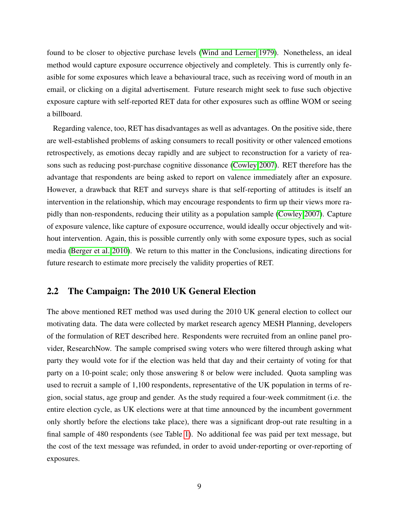found to be closer to objective purchase levels [\(Wind and Lerner 1979\)](#page-43-3). Nonetheless, an ideal method would capture exposure occurrence objectively and completely. This is currently only feasible for some exposures which leave a behavioural trace, such as receiving word of mouth in an email, or clicking on a digital advertisement. Future research might seek to fuse such objective exposure capture with self-reported RET data for other exposures such as offline WOM or seeing a billboard.

Regarding valence, too, RET has disadvantages as well as advantages. On the positive side, there are well-established problems of asking consumers to recall positivity or other valenced emotions retrospectively, as emotions decay rapidly and are subject to reconstruction for a variety of reasons such as reducing post-purchase cognitive dissonance [\(Cowley 2007\)](#page-40-5). RET therefore has the advantage that respondents are being asked to report on valence immediately after an exposure. However, a drawback that RET and surveys share is that self-reporting of attitudes is itself an intervention in the relationship, which may encourage respondents to firm up their views more rapidly than non-respondents, reducing their utility as a population sample [\(Cowley 2007\)](#page-40-5). Capture of exposure valence, like capture of exposure occurrence, would ideally occur objectively and without intervention. Again, this is possible currently only with some exposure types, such as social media [\(Berger et al. 2010\)](#page-40-6). We return to this matter in the Conclusions, indicating directions for future research to estimate more precisely the validity properties of RET.

#### 2.2 The Campaign: The 2010 UK General Election

The above mentioned RET method was used during the 2010 UK general election to collect our motivating data. The data were collected by market research agency MESH Planning, developers of the formulation of RET described here. Respondents were recruited from an online panel provider, ResearchNow. The sample comprised swing voters who were filtered through asking what party they would vote for if the election was held that day and their certainty of voting for that party on a 10-point scale; only those answering 8 or below were included. Quota sampling was used to recruit a sample of 1,100 respondents, representative of the UK population in terms of region, social status, age group and gender. As the study required a four-week commitment (i.e. the entire election cycle, as UK elections were at that time announced by the incumbent government only shortly before the elections take place), there was a significant drop-out rate resulting in a final sample of 480 respondents (see Table [1\)](#page-10-0). No additional fee was paid per text message, but the cost of the text message was refunded, in order to avoid under-reporting or over-reporting of exposures.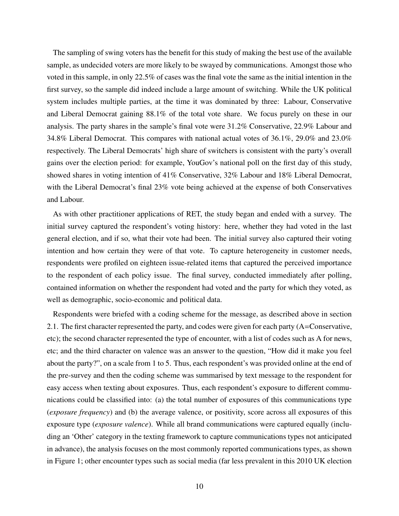The sampling of swing voters has the benefit for this study of making the best use of the available sample, as undecided voters are more likely to be swayed by communications. Amongst those who voted in this sample, in only 22.5% of cases was the final vote the same as the initial intention in the first survey, so the sample did indeed include a large amount of switching. While the UK political system includes multiple parties, at the time it was dominated by three: Labour, Conservative and Liberal Democrat gaining 88.1% of the total vote share. We focus purely on these in our analysis. The party shares in the sample's final vote were 31.2% Conservative, 22.9% Labour and 34.8% Liberal Democrat. This compares with national actual votes of 36.1%, 29.0% and 23.0% respectively. The Liberal Democrats' high share of switchers is consistent with the party's overall gains over the election period: for example, YouGov's national poll on the first day of this study, showed shares in voting intention of 41% Conservative, 32% Labour and 18% Liberal Democrat, with the Liberal Democrat's final 23% vote being achieved at the expense of both Conservatives and Labour.

As with other practitioner applications of RET, the study began and ended with a survey. The initial survey captured the respondent's voting history: here, whether they had voted in the last general election, and if so, what their vote had been. The initial survey also captured their voting intention and how certain they were of that vote. To capture heterogeneity in customer needs, respondents were profiled on eighteen issue-related items that captured the perceived importance to the respondent of each policy issue. The final survey, conducted immediately after polling, contained information on whether the respondent had voted and the party for which they voted, as well as demographic, socio-economic and political data.

Respondents were briefed with a coding scheme for the message, as described above in section 2.1. The first character represented the party, and codes were given for each party (A=Conservative, etc); the second character represented the type of encounter, with a list of codes such as A for news, etc; and the third character on valence was an answer to the question, "How did it make you feel about the party?", on a scale from 1 to 5. Thus, each respondent's was provided online at the end of the pre-survey and then the coding scheme was summarised by text message to the respondent for easy access when texting about exposures. Thus, each respondent's exposure to different communications could be classified into: (a) the total number of exposures of this communications type (*exposure frequency*) and (b) the average valence, or positivity, score across all exposures of this exposure type (*exposure valence*). While all brand communications were captured equally (including an 'Other' category in the texting framework to capture communications types not anticipated in advance), the analysis focuses on the most commonly reported communications types, as shown in Figure 1; other encounter types such as social media (far less prevalent in this 2010 UK election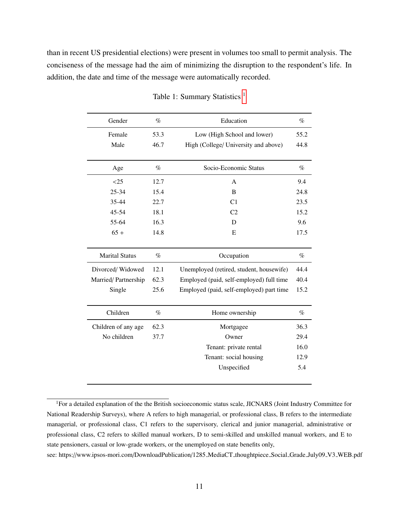<span id="page-10-0"></span>than in recent US presidential elections) were present in volumes too small to permit analysis. The conciseness of the message had the aim of minimizing the disruption to the respondent's life. In addition, the date and time of the message were automatically recorded.

| Gender                | $\%$ | Education                                | $\%$ |
|-----------------------|------|------------------------------------------|------|
| Female                | 53.3 | Low (High School and lower)              | 55.2 |
| Male                  | 46.7 | High (College/ University and above)     | 44.8 |
|                       |      |                                          |      |
| Age                   | $\%$ | Socio-Economic Status                    | $\%$ |
| <25                   | 12.7 | A                                        | 9.4  |
| 25-34                 | 15.4 | $\overline{B}$                           | 24.8 |
| 35-44                 | 22.7 | C <sub>1</sub>                           | 23.5 |
| 45-54                 | 18.1 | C <sub>2</sub>                           | 15.2 |
| 55-64                 | 16.3 | D                                        | 9.6  |
| $65+$                 | 14.8 | E                                        | 17.5 |
|                       |      |                                          |      |
| <b>Marital Status</b> | $\%$ | Occupation                               | $\%$ |
| Divorced/Widowed      | 12.1 | Unemployed (retired, student, housewife) | 44.4 |
| Married/Partnership   | 62.3 | Employed (paid, self-employed) full time | 40.4 |
| Single                | 25.6 | Employed (paid, self-employed) part time | 15.2 |
|                       |      |                                          |      |
| Children              | $\%$ | Home ownership                           | $\%$ |
| Children of any age   | 62.3 | Mortgagee                                | 36.3 |
| No children           | 37.7 | Owner                                    | 29.4 |
|                       |      | Tenant: private rental                   | 16.0 |
|                       |      | Tenant: social housing                   | 12.9 |
|                       |      |                                          |      |
|                       |      | Unspecified                              | 5.4  |

Table [1](#page-10-1): Summary Statistics<sup>1</sup>

<span id="page-10-1"></span><sup>&</sup>lt;sup>1</sup>For a detailed explanation of the the British socioeconomic status scale, JICNARS (Joint Industry Committee for National Readership Surveys), where A refers to high managerial, or professional class, B refers to the intermediate managerial, or professional class, C1 refers to the supervisory, clerical and junior managerial, administrative or professional class, C2 refers to skilled manual workers, D to semi-skilled and unskilled manual workers, and E to state pensioners, casual or low-grade workers, or the unemployed on state benefits only,

see: https://www.ipsos-mori.com/DownloadPublication/1285\_MediaCT\_thoughtpiece\_Social\_Grade\_July09\_V3\_WEB.pdf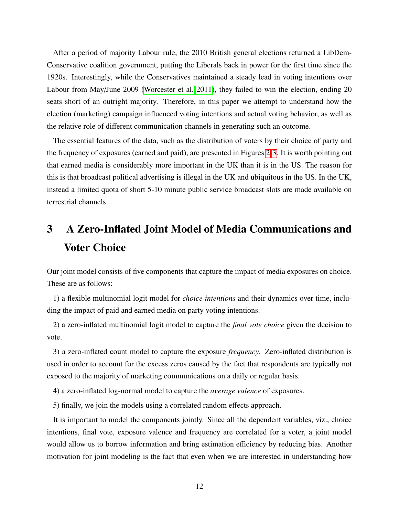After a period of majority Labour rule, the 2010 British general elections returned a LibDem-Conservative coalition government, putting the Liberals back in power for the first time since the 1920s. Interestingly, while the Conservatives maintained a steady lead in voting intentions over Labour from May/June 2009 [\(Worcester et al. 2011\)](#page-43-2), they failed to win the election, ending 20 seats short of an outright majority. Therefore, in this paper we attempt to understand how the election (marketing) campaign influenced voting intentions and actual voting behavior, as well as the relative role of different communication channels in generating such an outcome.

The essential features of the data, such as the distribution of voters by their choice of party and the frequency of exposures (earned and paid), are presented in Figures [2](#page-12-0)[-3.](#page-13-0) It is worth pointing out that earned media is considerably more important in the UK than it is in the US. The reason for this is that broadcast political advertising is illegal in the UK and ubiquitous in the US. In the UK, instead a limited quota of short 5-10 minute public service broadcast slots are made available on terrestrial channels.

## 3 A Zero-Inflated Joint Model of Media Communications and Voter Choice

Our joint model consists of five components that capture the impact of media exposures on choice. These are as follows:

1) a flexible multinomial logit model for *choice intentions* and their dynamics over time, including the impact of paid and earned media on party voting intentions.

2) a zero-inflated multinomial logit model to capture the *final vote choice* given the decision to vote.

3) a zero-inflated count model to capture the exposure *frequency*. Zero-inflated distribution is used in order to account for the excess zeros caused by the fact that respondents are typically not exposed to the majority of marketing communications on a daily or regular basis.

4) a zero-inflated log-normal model to capture the *average valence* of exposures.

5) finally, we join the models using a correlated random effects approach.

It is important to model the components jointly. Since all the dependent variables, viz., choice intentions, final vote, exposure valence and frequency are correlated for a voter, a joint model would allow us to borrow information and bring estimation efficiency by reducing bias. Another motivation for joint modeling is the fact that even when we are interested in understanding how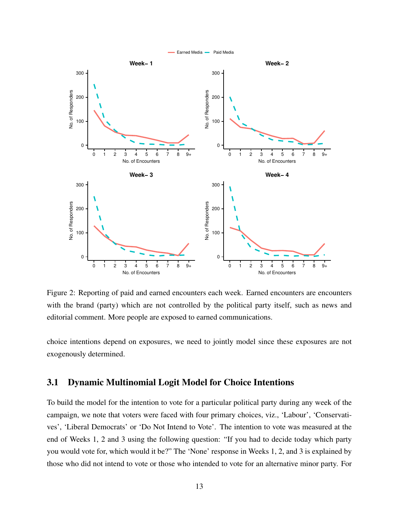<span id="page-12-0"></span>

Figure 2: Reporting of paid and earned encounters each week. Earned encounters are encounters with the brand (party) which are not controlled by the political party itself, such as news and editorial comment. More people are exposed to earned communications.

choice intentions depend on exposures, we need to jointly model since these exposures are not exogenously determined.

#### 3.1 Dynamic Multinomial Logit Model for Choice Intentions

To build the model for the intention to vote for a particular political party during any week of the campaign, we note that voters were faced with four primary choices, viz., 'Labour', 'Conservatives', 'Liberal Democrats' or 'Do Not Intend to Vote'. The intention to vote was measured at the end of Weeks 1, 2 and 3 using the following question: "If you had to decide today which party you would vote for, which would it be?" The 'None' response in Weeks 1, 2, and 3 is explained by those who did not intend to vote or those who intended to vote for an alternative minor party. For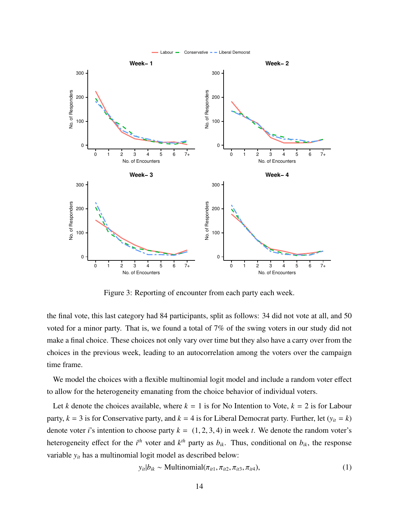

<span id="page-13-0"></span>

Figure 3: Reporting of encounter from each party each week.

the final vote, this last category had 84 participants, split as follows: 34 did not vote at all, and 50 voted for a minor party. That is, we found a total of 7% of the swing voters in our study did not make a final choice. These choices not only vary over time but they also have a carry over from the choices in the previous week, leading to an autocorrelation among the voters over the campaign time frame.

We model the choices with a flexible multinomial logit model and include a random voter effect to allow for the heterogeneity emanating from the choice behavior of individual voters.

Let *k* denote the choices available, where  $k = 1$  is for No Intention to Vote,  $k = 2$  is for Labour party,  $k = 3$  is for Conservative party, and  $k = 4$  is for Liberal Democrat party. Further, let  $(y_{it} = k)$ denote voter *i*'s intention to choose party  $k = (1, 2, 3, 4)$  in week *t*. We denote the random voter's heterogeneity effect for the *i*<sup>th</sup> voter and  $k$ <sup>th</sup> party as  $b_{ik}$ . Thus, conditional on  $b_{ik}$ , the response variable  $y_{it}$  has a multinomial logit model as described below:

<span id="page-13-1"></span>
$$
y_{it}|b_{ik} \sim \text{Multinomial}(\pi_{it1}, \pi_{it2}, \pi_{it3}, \pi_{it4}), \tag{1}
$$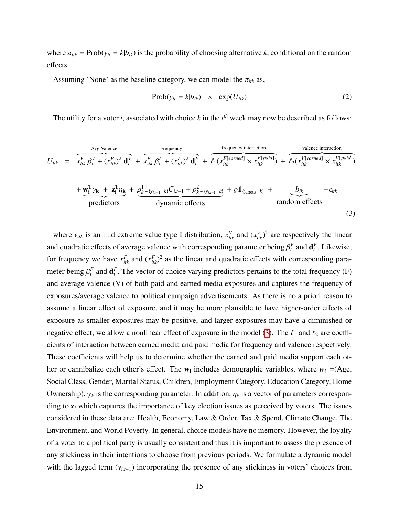where  $\pi_{itk} = \text{Prob}(y_{it} = k|b_{ik})$  is the probability of choosing alternative *k*, conditional on the random effects.

Assuming 'None' as the baseline category, we can model the  $\pi_{itk}$  as,

<span id="page-14-1"></span>
$$
Prob(y_{it} = k|b_{ik}) \propto \exp(U_{itk}) \tag{2}
$$

The utility for a voter *i*, associated with choice  $k$  in the  $t<sup>th</sup>$  week may now be described as follows:

<span id="page-14-0"></span>
$$
U_{itk} = \overbrace{x_{itk}^{V} \beta_{t}^{V} + (x_{itk}^{V})^{2} \mathbf{d}_{t}^{V}}^{\text{Aug valence}} + \underbrace{x_{itk}^{F} \beta_{t}^{V}}_{\text{predictors}} + \overbrace{x_{itk}^{F} \beta_{t}^{F} + (x_{itk}^{F})^{2} \mathbf{d}_{t}^{F}}^{\text{Frequency}}^{\text{Frequency interaction}} + \underbrace{e_{1}(x_{itk}^{F[eanned]} \times x_{itk}^{F[paid]})}_{\text{dylamine effects}} + \underbrace{e_{2}(x_{itk}^{V[earmed]} \times x_{itk}^{V[paid]})}_{\text{equations}}^{\text{valence interaction}}
$$
\n
$$
+ \underbrace{w_{i}^{T} \gamma_{k}}_{\text{predictors}} + \mathbf{z_{i}^{T} \eta_{k}} + \rho_{k}^{1} \mathbb{1}_{\{y_{i,t-1}=k\}} C_{i,t-1} + \rho_{k}^{2} \mathbb{1}_{\{y_{i,t-1}=k\}} + \rho \mathbb{1}_{\{y_{i,2005}=k\}} + \underbrace{b_{ik}}_{\text{random effects}}
$$
\n
$$
(3)
$$

where  $\epsilon_{itk}$  is an i.i.d extreme value type I distribution,  $x_{itk}^V$  and  $(x_{itk}^V)^2$  are respectively the linear and quadratic effects of average valence with corresponding parameter being  $\beta_t^V$  and  $\mathbf{d}_t^V$ . Likewise, for frequency we have  $x_{ik}^F$  and  $(x_{ik}^F)^2$  as the linear and quadratic effects with corresponding parameter being  $\beta_t^F$  and  $\mathbf{d}_t^F$ . The vector of choice varying predictors pertains to the total frequency (F) and average valence (V) of both paid and earned media exposures and captures the frequency of exposures/average valence to political campaign advertisements. As there is no a priori reason to assume a linear effect of exposure, and it may be more plausible to have higher-order effects of exposure as smaller exposures may be positive, and larger exposures may have a diminished or negative effect, we allow a nonlinear effect of exposure in the model [\(3\)](#page-14-0). The  $\ell_1$  and  $\ell_2$  are coefficients of interaction between earned media and paid media for frequency and valence respectively. These coefficients will help us to determine whether the earned and paid media support each other or cannibalize each other's effect. The  $w_i$  includes demographic variables, where  $w_i = (Age,$ Social Class, Gender, Marital Status, Children, Employment Category, Education Category, Home Ownership),  $\gamma_k$  is the corresponding parameter. In addition,  $\eta_k$  is a vector of parameters corresponding to z*<sup>i</sup>* which captures the importance of key election issues as perceived by voters. The issues considered in these data are: Health, Economy, Law & Order, Tax & Spend, Climate Change, The Environment, and World Poverty. In general, choice models have no memory. However, the loyalty of a voter to a political party is usually consistent and thus it is important to assess the presence of any stickiness in their intentions to choose from previous periods. We formulate a dynamic model with the lagged term ( $y$ <sub>*i*,*t*−1</sub>) incorporating the presence of any stickiness in voters' choices from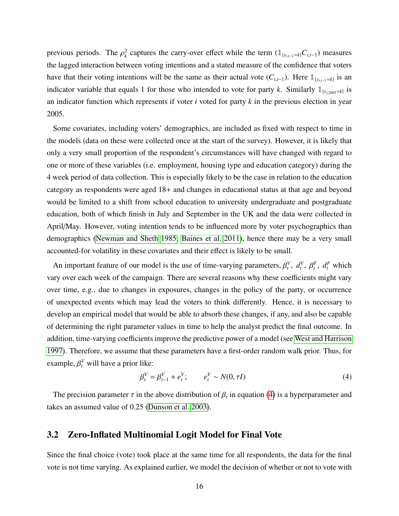previous periods. The  $\rho_k^2$  captures the carry-over effect while the term  $(1_{\{y_{i,t-1}=k\}}C_{i,t-1})$  measures the lagged interaction between voting intentions and a stated measure of the confidence that voters have that their voting intentions will be the same as their actual vote  $(C_{i,t-1})$ . Here  $\mathbb{1}_{\{y_{i,t-1}=k\}}$  is an indicator variable that equals 1 for those who intended to vote for party *k*. Similarly  $\mathbb{1}_{\{y_{i,2005} = k\}}$  is an indicator function which represents if voter *i* voted for party *k* in the previous election in year 2005.

Some covariates, including voters' demographics, are included as fixed with respect to time in the models (data on these were collected once at the start of the survey). However, it is likely that only a very small proportion of the respondent's circumstances will have changed with regard to one or more of these variables (i.e. employment, housing type and education category) during the 4 week period of data collection. This is especially likely to be the case in relation to the education category as respondents were aged 18+ and changes in educational status at that age and beyond would be limited to a shift from school education to university undergraduate and postgraduate education, both of which finish in July and September in the UK and the data were collected in April/May. However, voting intention tends to be influenced more by voter psychographics than demographics [\(Newman and Sheth 1985;](#page-42-5) [Baines et al. 2011\)](#page-40-3), hence there may be a very small accounted-for volatility in these covariates and their effect is likely to be small.

An important feature of our model is the use of time-varying parameters,  $\beta_t^V$ ,  $d_t^V$ ,  $\beta_t^F$ ,  $d_t^F$  which vary over each week of the campaign. There are several reasons why these coefficients might vary over time, e.g., due to changes in exposures, changes in the policy of the party, or occurrence of unexpected events which may lead the voters to think differently. Hence, it is necessary to develop an empirical model that would be able to absorb these changes, if any, and also be capable of determining the right parameter values in time to help the analyst predict the final outcome. In addition, time-varying coefficients improve the predictive power of a model (see [West and Harrison](#page-43-4) [1997\)](#page-43-4). Therefore, we assume that these parameters have a first-order random walk prior. Thus, for example,  $\beta_t^V$  will have a prior like:

<span id="page-15-0"></span>
$$
\beta_t^V = \beta_{t-1}^V + e_t^V; \qquad e_t^V \sim N(0, \tau I)
$$
\n(4)

The precision parameter  $\tau$  in the above distribution of  $\beta_t$  in equation [\(4\)](#page-15-0) is a hyperparameter and takes an assumed value of 0.25 [\(Dunson et al. 2003\)](#page-41-5).

#### 3.2 Zero-Inflated Multinomial Logit Model for Final Vote

Since the final choice (vote) took place at the same time for all respondents, the data for the final vote is not time varying. As explained earlier, we model the decision of whether or not to vote with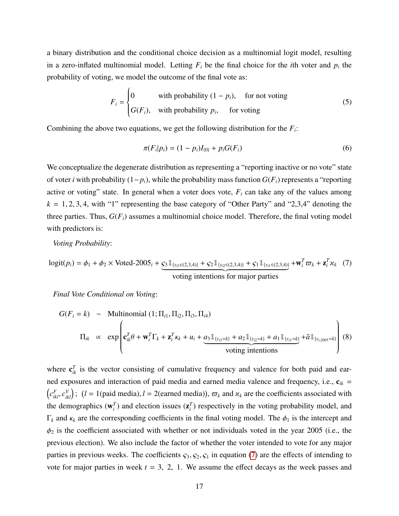a binary distribution and the conditional choice decision as a multinomial logit model, resulting in a zero-inflated multinomial model. Letting  $F_i$  be the final choice for the *i*th voter and  $p_i$  the probability of voting, we model the outcome of the final vote as:

$$
F_i = \begin{cases} 0 & \text{with probability } (1 - p_i), & \text{for not voting} \\ G(F_i), & \text{with probability } p_i, & \text{for voting} \end{cases}
$$
(5)

Combining the above two equations, we get the following distribution for the *F<sup>i</sup>* :

$$
\pi(F_i|p_i) = (1 - p_i)I_{\{0\}} + p_i G(F_i)
$$
\n(6)

We conceptualize the degenerate distribution as representing a "reporting inactive or no vote" state of voter *i* with probability (1−*pi*), while the probability mass function *G*(*Fi*) represents a "reporting active or voting" state. In general when a voter does vote,  $F_i$  can take any of the values among  $k = 1, 2, 3, 4$ , with "1" representing the base category of "Other Party" and "2,3,4" denoting the three parties. Thus,  $G(F_i)$  assumes a multinomial choice model. Therefore, the final voting model with predictors is:

*Voting Probability*:

<span id="page-16-0"></span>
$$
logit(p_i) = \phi_1 + \phi_2 \times Voted-2005_i + \underbrace{S_3 \mathbb{1}_{\{y_{i3} \in (2,3,4)\}} + S_2 \mathbb{1}_{\{y_{i2} \in (2,3,4)\}} + S_1 \mathbb{1}_{\{y_{i1} \in (2,3,4)\}} + \mathbf{w}_i^T \varpi_k + \mathbf{z}_i^T \varkappa_k \quad (7)
$$
  
voting intentions for major parties

*Final Vote Conditional on Voting*:

<span id="page-16-1"></span>
$$
G(F_i = k) \sim \text{Multinomial } (1; \Pi_{i1}, \Pi_{i2}, \Pi_{i3}, \Pi_{i4})
$$
  
\n
$$
\Pi_{ik} \propto \exp \left( \mathbf{c}_{ik}^T \theta + \mathbf{w}_i^T \Gamma_k + \mathbf{z}_i^T \kappa_k + u_i + \underbrace{a_3 \mathbb{I}_{\{y_{i3} = k\}} + a_2 \mathbb{I}_{\{y_{i2} = k\}} + a_1 \mathbb{I}_{\{y_{i1} = k\}}}_{\text{voting intentions}} + \tilde{a} \mathbb{I}_{\{y_{i,2005} = k\}} \right) (8)
$$

where  $\mathbf{c}_{ik}^T$  is the vector consisting of cumulative frequency and valence for both paid and earned exposures and interaction of paid media and earned media valence and frequency, i.e.,  $\mathbf{c}_{ik}$  =  $(c_{ikl}^F, c_{ikl}^V)$ ;  $(l = 1$ (paid media),  $l = 2$ (earned media)),  $\varpi_k$  and  $\varkappa_k$  are the coefficients associated with the demographics  $(\mathbf{w}_i^T)$  and election issues  $(\mathbf{z}_i^T)$  respectively in the voting probability model, and  $\Gamma_k$  and  $\kappa_k$  are the corresponding coefficients in the final voting model. The  $\phi_1$  is the intercept and  $\phi_2$  is the coefficient associated with whether or not individuals voted in the year 2005 (i.e., the previous election). We also include the factor of whether the voter intended to vote for any major parties in previous weeks. The coefficients  $\zeta_3, \zeta_2, \zeta_1$  in equation [\(7\)](#page-16-0) are the effects of intending to vote for major parties in week  $t = 3, 2, 1$ . We assume the effect decays as the week passes and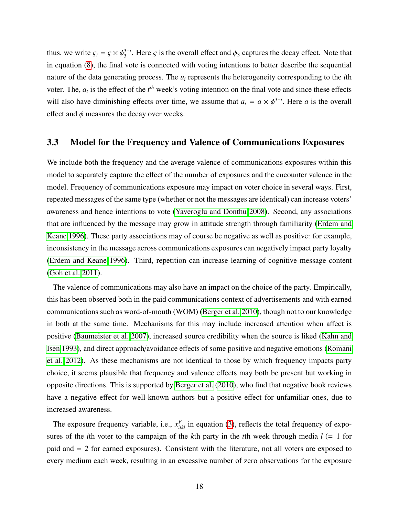thus, we write  $\varsigma_t = \varsigma \times \phi_3^{3-t}$  $3^{3-t}$ . Here  $\varsigma$  is the overall effect and  $\phi_3$  captures the decay effect. Note that in equation [\(8\)](#page-16-1), the final vote is connected with voting intentions to better describe the sequential nature of the data generating process. The *u<sup>i</sup>* represents the heterogeneity corresponding to the *i*th voter. The,  $a_t$  is the effect of the  $t^{th}$  week's voting intention on the final vote and since these effects will also have diminishing effects over time, we assume that  $a_t = a \times \phi^{3-t}$ . Here *a* is the overall effect and  $\phi$  measures the decay over weeks.

#### 3.3 Model for the Frequency and Valence of Communications Exposures

We include both the frequency and the average valence of communications exposures within this model to separately capture the effect of the number of exposures and the encounter valence in the model. Frequency of communications exposure may impact on voter choice in several ways. First, repeated messages of the same type (whether or not the messages are identical) can increase voters' awareness and hence intentions to vote [\(Yaveroglu and Donthu 2008\)](#page-43-5). Second, any associations that are influenced by the message may grow in attitude strength through familiarity [\(Erdem and](#page-41-6) [Keane 1996\)](#page-41-6). These party associations may of course be negative as well as positive: for example, inconsistency in the message across communications exposures can negatively impact party loyalty [\(Erdem and Keane 1996\)](#page-41-6). Third, repetition can increase learning of cognitive message content [\(Goh et al. 2011\)](#page-41-3).

The valence of communications may also have an impact on the choice of the party. Empirically, this has been observed both in the paid communications context of advertisements and with earned communications such as word-of-mouth (WOM) [\(Berger et al. 2010\)](#page-40-6), though not to our knowledge in both at the same time. Mechanisms for this may include increased attention when affect is positive [\(Baumeister et al. 2007\)](#page-40-7), increased source credibility when the source is liked [\(Kahn and](#page-42-6) [Isen 1993\)](#page-42-6), and direct approach/avoidance effects of some positive and negative emotions [\(Romani](#page-42-7) [et al. 2012\)](#page-42-7). As these mechanisms are not identical to those by which frequency impacts party choice, it seems plausible that frequency and valence effects may both be present but working in opposite directions. This is supported by [Berger et al.](#page-40-6) [\(2010\)](#page-40-6), who find that negative book reviews have a negative effect for well-known authors but a positive effect for unfamiliar ones, due to increased awareness.

The exposure frequency variable, i.e.,  $x_{ikl}^F$  in equation [\(3\)](#page-14-0), reflects the total frequency of exposures of the *i*th voter to the campaign of the *k*th party in the *t*th week through media *l* (= 1 for paid and = 2 for earned exposures). Consistent with the literature, not all voters are exposed to every medium each week, resulting in an excessive number of zero observations for the exposure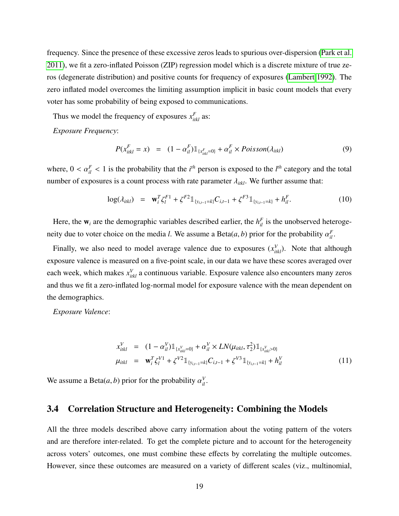frequency. Since the presence of these excessive zeros leads to spurious over-dispersion [\(Park et al.](#page-42-8) [2011\)](#page-42-8), we fit a zero-inflated Poisson (ZIP) regression model which is a discrete mixture of true zeros (degenerate distribution) and positive counts for frequency of exposures [\(Lambert 1992\)](#page-42-9). The zero inflated model overcomes the limiting assumption implicit in basic count models that every voter has some probability of being exposed to communications.

Thus we model the frequency of exposures  $x_{itkl}^F$  as:

*Exposure Frequency*:

$$
P(x_{itkl}^F = x) = (1 - \alpha_{il}^F) \mathbb{1}_{\{x_{itkl}^F = 0\}} + \alpha_{il}^F \times Poisson(\lambda_{itkl})
$$
\n(9)

where,  $0 < \alpha_{il}^F < 1$  is the probability that the *i*<sup>th</sup> person is exposed to the *l*<sup>th</sup> category and the total number of exposures is a count process with rate parameter  $\lambda_{itkl}$ . We further assume that:

<span id="page-18-0"></span>
$$
\log(\lambda_{itkl}) = \mathbf{w}_i^T \zeta_l^{F1} + \zeta^{F2} \mathbb{1}_{\{y_{i,t-1}=k\}} C_{i,t-1} + \zeta^{F3} \mathbb{1}_{\{y_{i,t-1}=k\}} + h_{il}^F.
$$
 (10)

Here, the  $w_i$  are the demographic variables described earlier, the  $h_i^F$  is the unobserved heterogeneity due to voter choice on the media *l*. We assume a Beta $(a, b)$  prior for the probability  $\alpha_{il}^F$ .

Finally, we also need to model average valence due to exposures  $(x_{itkl}^V)$ . Note that although exposure valence is measured on a five-point scale, in our data we have these scores averaged over each week, which makes  $x_{ikl}^V$  a continuous variable. Exposure valence also encounters many zeros and thus we fit a zero-inflated log-normal model for exposure valence with the mean dependent on the demographics.

*Exposure Valence*:

<span id="page-18-1"></span>
$$
x_{itkl}^V = (1 - \alpha_{il}^V) \mathbb{1}_{\{x_{itkl}^V = 0\}} + \alpha_{il}^V \times LN(\mu_{itkl}, \tau_2^2) \mathbb{1}_{\{x_{itkl}^V > 0\}}
$$
  
\n
$$
\mu_{itkl} = \mathbf{w}_i^T \zeta_l^{V1} + \zeta^{V2} \mathbb{1}_{\{y_{i,t-1} = k\}} C_{i,t-1} + \zeta^{V3} \mathbb{1}_{\{y_{i,t-1} = k\}} + h_{il}^V
$$
\n(11)

We assume a Beta $(a, b)$  prior for the probability  $\alpha_{il}^V$ .

#### 3.4 Correlation Structure and Heterogeneity: Combining the Models

All the three models described above carry information about the voting pattern of the voters and are therefore inter-related. To get the complete picture and to account for the heterogeneity across voters' outcomes, one must combine these effects by correlating the multiple outcomes. However, since these outcomes are measured on a variety of different scales (viz., multinomial,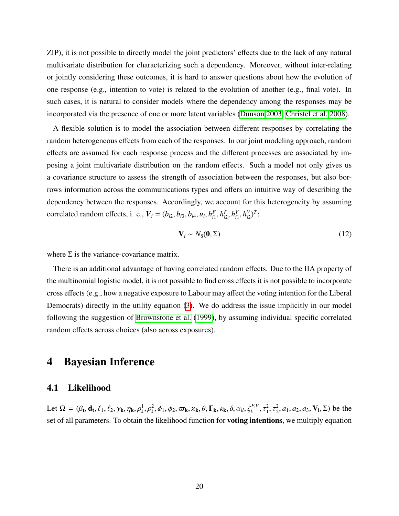ZIP), it is not possible to directly model the joint predictors' effects due to the lack of any natural multivariate distribution for characterizing such a dependency. Moreover, without inter-relating or jointly considering these outcomes, it is hard to answer questions about how the evolution of one response (e.g., intention to vote) is related to the evolution of another (e.g., final vote). In such cases, it is natural to consider models where the dependency among the responses may be incorporated via the presence of one or more latent variables [\(Dunson 2003;](#page-40-8) [Christel et al. 2008\)](#page-40-9).

A flexible solution is to model the association between different responses by correlating the random heterogeneous effects from each of the responses. In our joint modeling approach, random effects are assumed for each response process and the different processes are associated by imposing a joint multivariate distribution on the random effects. Such a model not only gives us a covariance structure to assess the strength of association between the responses, but also borrows information across the communications types and offers an intuitive way of describing the dependency between the responses. Accordingly, we account for this heterogeneity by assuming correlated random effects, i. e.,  $V_i = (b_{i2}, b_{i3}, b_{i4}, u_i, h_{i1}^F)$  $_{i1}^{F}, h_{i2}^{F}$  $_{i2}^{F}, h_{i1}^{V}$  $_{i1}^{V}, h_{i2}^{V}$  $\binom{V}{i2}$ <sup>T</sup>:

<span id="page-19-0"></span>
$$
\mathbf{V}_i \sim N_8(\mathbf{0}, \Sigma) \tag{12}
$$

where  $\Sigma$  is the variance-covariance matrix.

There is an additional advantage of having correlated random effects. Due to the IIA property of the multinomial logistic model, it is not possible to find cross effects it is not possible to incorporate cross effects (e.g., how a negative exposure to Labour may affect the voting intention for the Liberal Democrats) directly in the utility equation [\(3\)](#page-14-0). We do address the issue implicitly in our model following the suggestion of [Brownstone et al.](#page-40-10) [\(1999\)](#page-40-10), by assuming individual specific correlated random effects across choices (also across exposures).

### 4 Bayesian Inference

#### 4.1 Likelihood

Let  $\Omega = (\beta_t, \mathbf{d}_t, \ell_1, \ell_2, \gamma_k, \eta_k, \rho_k^1, \rho_k^2, \phi_1, \phi_2, \varpi_k, \varkappa_k, \theta, \Gamma_k, \kappa_k, \delta, \alpha_{il}, \zeta_k^{F,V}, \tau_1^2, \tau_2^2, a_1, a_2, a_3, \mathbf{V}_i, \Sigma)$  be the set of all parameters. To obtain the likelihood function for **voting intentions**, we multiply equation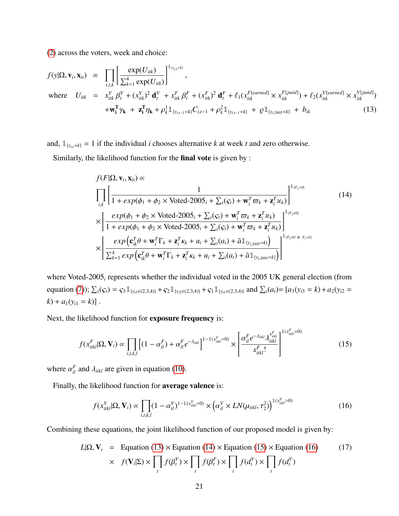[\(2\)](#page-14-1) across the voters, week and choice:

<span id="page-20-0"></span>
$$
f(y|\Omega, \mathbf{v}_i, \mathbf{x}_{it}) \propto \prod_{i,t,k} \left[ \frac{\exp(U_{itk})}{\sum_{k=1}^4 \exp(U_{itk})} \right]^{1_{\{y_{i,t}=k\}}},
$$
  
where  $U_{itk} = x_{itk}^V \beta_t^V + (x_{itk}^V)^2 \mathbf{d}_t^V + x_{itk}^F \beta_t^F + (x_{itk}^F)^2 \mathbf{d}_t^F + \ell_1(x_{itk}^{F|earned} \times x_{itk}^{F[paid]}) + \ell_2(x_{itk}^{V|earned} \times x_{itk}^{V[paid]})$   

$$
+ \mathbf{w}_i^T \gamma_k + \mathbf{z}_i^T \eta_k + \rho_k^1 \mathbb{1}_{\{y_{i,t-1}=k\}} C_{i,t-1} + \rho_k^2 \mathbb{1}_{\{y_{i,t-1}=k\}} + \rho \mathbb{1}_{\{y_{i,2005}=k\}} + b_{ik}
$$
(13)

and,  $\mathbb{1}_{\{y_{i,t}=k\}} = 1$  if the individual *i* chooses alternative *k* at week *t* and zero otherwise.

Similarly, the likelihood function for the final vote is given by :

<span id="page-20-1"></span>
$$
f(F|\Omega, \mathbf{v}_i, \mathbf{x}_{it}) \propto
$$
\n
$$
\prod_{i,k} \left[ \frac{1}{1 + exp(\phi_1 + \phi_2 \times \text{Voted-}2005_i + \sum_i(\mathbf{y}_i) + \mathbf{w}_i^T \varpi_k + \mathbf{z}_i^T \mathbf{x}_k)} \right]^{1_{\{F_i = 0\}}}
$$
\n
$$
\times \left[ \frac{exp(\phi_1 + \phi_2 \times \text{Voted-}2005_i + \sum_i(\mathbf{y}_i) + \mathbf{w}_i^T \varpi_k + \mathbf{z}_i^T \mathbf{x}_k)}{1 + exp(\phi_1 + \phi_2 \times \text{Voted-}2005_i + \sum_i(\mathbf{y}_i) + \mathbf{w}_i^T \varpi_k + \mathbf{z}_i^T \mathbf{x}_k)} \right]^{1_{\{F_i \neq 0\}}}
$$
\n
$$
\times \left[ \frac{exp(\mathbf{c}_{ik}^T \theta + \mathbf{w}_i^T \Gamma_k + \mathbf{z}_i^T \mathbf{x}_k + u_i + \sum_i(a_i) + \tilde{a} \mathbb{1}_{\{y_{i,2005} = k\}})}{\sum_{k=1}^4 exp(\mathbf{c}_{ik}^T \theta + \mathbf{w}_i^T \Gamma_k + \mathbf{z}_i^T \mathbf{x}_k + u_i + \sum_i(a_i) + \tilde{a} \mathbb{1}_{\{y_{i,2005} = k\}})} \right]^{1_{\{F_i \neq 0 \ \& \ F_i = k\}}}
$$
\n(14)

where Voted-2005*<sup>i</sup>* represents whether the individual voted in the 2005 UK general election (from equation [\(7\)](#page-16-0));  $\sum_{t}(s_t) = s_3 1_{\{y_{i3} \in (2,3,4)\}} + s_2 1_{\{y_{i2} \in (2,3,4)\}} + s_1 1_{\{y_{i1} \in (2,3,4)\}}$  and  $\sum_{t}(a_t) = [a_3(y_{i3} = k) + a_2(y_{i2} = k)]$  $k) + a_1(y_{i1} = k)$ ].

Next, the likelihood function for exposure frequency is:

<span id="page-20-2"></span>
$$
f(x_{itkl}^F|\Omega, \mathbf{V}_i) \propto \prod_{i,t,k,l} \left[ (1 - \alpha_{il}^F) + \alpha_{il}^F e^{-\lambda_{itkl}} \right]^{1 - 1(x_{itkl}^F = 0)} \times \left[ \frac{\alpha_{il}^F e^{-\lambda_{itkl}} \lambda_{itkl}^{x_{itkl}^F}}{x_{itkl}^F!} \right]^{1(x_{itkl}^F = 0)}
$$
(15)

where  $\alpha_{il}^F$  and  $\lambda_{itkl}$  are given in equation [\(10\)](#page-18-0).

Finally, the likelihood function for average valence is:

<span id="page-20-3"></span>
$$
f(x_{itkl}^V|\Omega, \mathbf{V}_i) \propto \prod_{i,t,k,l} (1 - \alpha_{il}^V)^{1 - 1(x_{itkl}^V = 0)} \times (\alpha_{il}^V \times LN(\mu_{itkl}, \tau_2^2))^{1(x_{itkl}^F > 0)}
$$
(16)

Combining these equations, the joint likelihood function of our proposed model is given by:

$$
L|\Omega, \mathbf{V}_i = \text{Equation (13)} \times \text{Equation (14)} \times \text{Equation (15)} \times \text{Equation (16)} \quad (17)
$$
  
 
$$
\times f(\mathbf{V}_i|\Sigma) \times \prod_t f(\beta_t^V) \times \prod_t f(\beta_t^F) \times \prod_t f(d_t^V) \times \prod_t f(d_t^V)
$$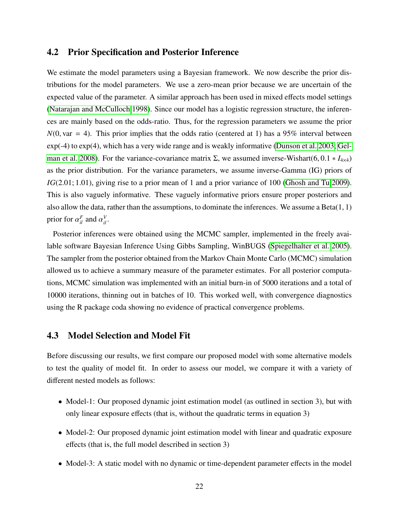#### 4.2 Prior Specification and Posterior Inference

We estimate the model parameters using a Bayesian framework. We now describe the prior distributions for the model parameters. We use a zero-mean prior because we are uncertain of the expected value of the parameter. A similar approach has been used in mixed effects model settings [\(Natarajan and McCulloch 1998\)](#page-42-10). Since our model has a logistic regression structure, the inferences are mainly based on the odds-ratio. Thus, for the regression parameters we assume the prior  $N(0, \text{var} = 4)$ . This prior implies that the odds ratio (centered at 1) has a 95% interval between exp(-4) to exp(4), which has a very wide range and is weakly informative [\(Dunson et al. 2003;](#page-41-5) [Gel](#page-41-2)[man et al. 2008\)](#page-41-2). For the variance-covariance matrix  $\Sigma$ , we assumed inverse-Wishart(6, 0.1  $* I_{4\times4}$ ) as the prior distribution. For the variance parameters, we assume inverse-Gamma (IG) priors of *IG*(2.01; 1.01), giving rise to a prior mean of 1 and a prior variance of 100 [\(Ghosh and Tu 2009\)](#page-41-7). This is also vaguely informative. These vaguely informative priors ensure proper posteriors and also allow the data, rather than the assumptions, to dominate the inferences. We assume a Beta $(1, 1)$ prior for  $\alpha_{il}^F$  and  $\alpha_{il}^V$ .

Posterior inferences were obtained using the MCMC sampler, implemented in the freely available software Bayesian Inference Using Gibbs Sampling, WinBUGS [\(Spiegelhalter et al. 2005\)](#page-43-6). The sampler from the posterior obtained from the Markov Chain Monte Carlo (MCMC) simulation allowed us to achieve a summary measure of the parameter estimates. For all posterior computations, MCMC simulation was implemented with an initial burn-in of 5000 iterations and a total of 10000 iterations, thinning out in batches of 10. This worked well, with convergence diagnostics using the R package coda showing no evidence of practical convergence problems.

#### 4.3 Model Selection and Model Fit

Before discussing our results, we first compare our proposed model with some alternative models to test the quality of model fit. In order to assess our model, we compare it with a variety of different nested models as follows:

- Model-1: Our proposed dynamic joint estimation model (as outlined in section 3), but with only linear exposure effects (that is, without the quadratic terms in equation 3)
- Model-2: Our proposed dynamic joint estimation model with linear and quadratic exposure effects (that is, the full model described in section 3)
- Model-3: A static model with no dynamic or time-dependent parameter effects in the model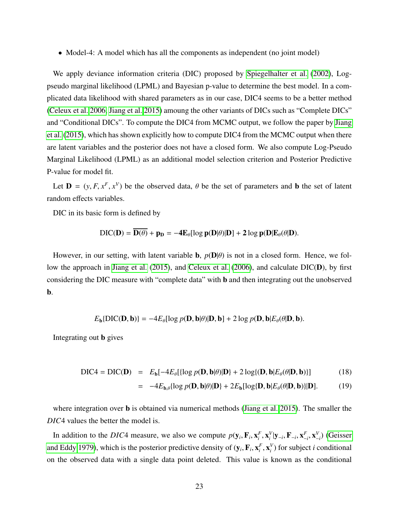• Model-4: A model which has all the components as independent (no joint model)

We apply deviance information criteria (DIC) proposed by [Spiegelhalter et al.](#page-43-7) [\(2002\)](#page-43-7), Logpseudo marginal likelihood (LPML) and Bayesian p-value to determine the best model. In a complicated data likelihood with shared parameters as in our case, DIC4 seems to be a better method [\(Celeux et al. 2006,](#page-40-11) [Jiang et al. 2015\)](#page-42-11) amoung the other variants of DICs such as "Complete DICs" and "Conditional DICs". To compute the DIC4 from MCMC output, we follow the paper by [Jiang](#page-42-11) [et al.](#page-42-11) [\(2015\)](#page-42-11), which has shown explicitly how to compute DIC4 from the MCMC output when there are latent variables and the posterior does not have a closed form. We also compute Log-Pseudo Marginal Likelihood (LPML) as an additional model selection criterion and Posterior Predictive P-value for model fit.

Let  $\mathbf{D} = (y, F, x^F, x^V)$  be the observed data,  $\theta$  be the set of parameters and **b** the set of latent random effects variables.

DIC in its basic form is defined by

$$
\text{DIC}(\mathbf{D}) = \mathbf{D}(\theta) + \mathbf{p}_{\mathbf{D}} = -4\mathbf{E}_{\theta}[\log \mathbf{p}(\mathbf{D}|\theta)|\mathbf{D}] + 2\log \mathbf{p}(\mathbf{D}|\mathbf{E}_{\theta}(\theta|\mathbf{D})).
$$

However, in our setting, with latent variable **b**,  $p(\mathbf{D}|\theta)$  is not in a closed form. Hence, we follow the approach in [Jiang et al.](#page-42-11) [\(2015\)](#page-42-11), and [Celeux et al.](#page-40-11) [\(2006\)](#page-40-11), and calculate DIC(D), by first considering the DIC measure with "complete data" with b and then integrating out the unobserved b.

$$
E_{\mathbf{b}}\{\text{DIC}(\mathbf{D}, \mathbf{b})\} = -4E_{\theta}[\log p(\mathbf{D}, \mathbf{b}|\theta)|\mathbf{D}, \mathbf{b}]+2\log p(\mathbf{D}, \mathbf{b}|E_{\theta}(\theta|\mathbf{D}, \mathbf{b}).
$$

Integrating out b gives

$$
\text{DIC4} = \text{DIC}(\mathbf{D}) = E_{\mathbf{b}}[-4E_{\theta}[\{\log p(\mathbf{D}, \mathbf{b}|\theta)|\mathbf{D}\} + 2\log\{(\mathbf{D}, \mathbf{b}|E_{\theta}(\theta|\mathbf{D}, \mathbf{b})\}] \tag{18}
$$

$$
= -4E_{\mathbf{b},\theta}\{\log p(\mathbf{D},\mathbf{b}|\theta)|\mathbf{D}\} + 2E_{\mathbf{b}}[\log{\{\mathbf{D},\mathbf{b}|E_{\theta}(\theta|\mathbf{D},\mathbf{b})\}}|\mathbf{D}].
$$
 (19)

where integration over **b** is obtained via numerical methods [\(Jiang et al. 2015\)](#page-42-11). The smaller the *DIC*4 values the better the model is.

In addition to the *DIC*4 measure, we also we compute  $p(\mathbf{y}_i, \mathbf{F}_i, \mathbf{x}_i^F, \mathbf{x}_i^V)$ *<sup>V</sup>*</sup> |**y**−*i*</sub>, **F**−*i*</sub>, **x**<sup>*F*</sup><sub>−*i*</sub></sub>, **x**<sup>*V*</sup><sub>−*i*</sub></sub>) [\(Geisser](#page-41-8) [and Eddy 1979\)](#page-41-8), which is the posterior predictive density of  $(\mathbf{y}_i, \mathbf{F}_i, \mathbf{x}_i^F, \mathbf{x}_i^V)$  $i$ <sup>V</sup>) for subject *i* conditional on the observed data with a single data point deleted. This value is known as the conditional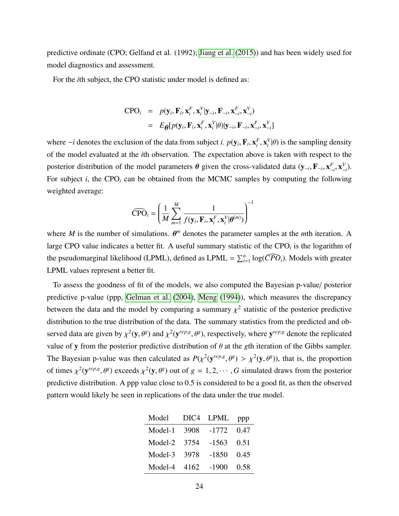predictive ordinate (CPO; Gelfand et al. (1992); [Jiang et al.](#page-42-11) [\(2015\)](#page-42-11)) and has been widely used for model diagnostics and assessment.

For the *i*th subject, the CPO statistic under model is defined as:

$$
\begin{array}{rcl}\n\text{CPO}_{i} & = & p(\mathbf{y}_{i}, \mathbf{F}_{i}, \mathbf{x}_{i}^{F}, \mathbf{x}_{i}^{V} | \mathbf{y}_{-i}, \mathbf{F}_{-i}, \mathbf{x}_{-i}^{F}, \mathbf{x}_{-i}^{V}) \\
& = & E_{\boldsymbol{\theta}}[p(\mathbf{y}_{i}, \mathbf{F}_{i}, \mathbf{x}_{i}^{F}, \mathbf{x}_{i}^{V} | \boldsymbol{\theta}) | \mathbf{y}_{-i}, \mathbf{F}_{-i}, \mathbf{x}_{-i}^{F}, \mathbf{x}_{-i}^{V}] \\
\end{array}
$$

where  $-i$  denotes the exclusion of the data from subject *i*.  $p(\mathbf{y}_i, \mathbf{F}_i, \mathbf{x}_i^F, \mathbf{x}_i^V)$  $\mathbf{v}_i^V|\theta$  is the sampling density of the model evaluated at the *i*th observation. The expectation above is taken with respect to the posterior distribution of the model parameters  $\theta$  given the cross-validated data ( $\mathbf{y}_{-i}$ ,  $\mathbf{F}_{-i}$ ,  $\mathbf{x}_{-i}^F$ ,  $\mathbf{x}_{-i}^V$ ). For subject *<sup>i</sup>*, the CPO*<sup>i</sup>* can be obtained from the MCMC samples by computing the following weighted average:

$$
\widehat{\text{CPO}}_i = \left(\frac{1}{M} \sum_{m=1}^{M} \frac{1}{f(\mathbf{y}_i, \mathbf{F}_i, \mathbf{x}_i^F, \mathbf{x}_i^V | \boldsymbol{\theta}^{(m)})}\right)^{-1}
$$

where *M* is the number of simulations.  $\theta^m$  denotes the parameter samples at the *m*th iteration. A large CPO value indicates a better fit. A useful summary statistic of the CPO*<sup>i</sup>* is the logarithm of the pseudomarginal likelihood (LPML), defined as LPML =  $\sum_{i=1}^{n} \log(\widehat{CPO}_{i})$ . Models with greater LPML values represent a better fit.

To assess the goodness of fit of the models, we also computed the Bayesian p-value/ posterior predictive p-value (ppp, [Gelman et al.](#page-41-9) [\(2004\)](#page-41-9), [Meng](#page-42-12) [\(1994\)](#page-42-12)), which measures the discrepancy between the data and the model by comparing a summary  $\chi^2$  statistic of the posterior predictive distribution to the true distribution of the data. The summary statistics from the predicted and observed data are given by  $\chi^2$ (y,  $\theta^g$ ) and  $\chi^2$ (y<sup>rep,*g*</sup>,  $\theta^g$ ), respectively, where y<sup>rep,*g*</sup> denote the replicated value of y from the posterior predictive distribution of  $\theta$  at the *g*th iteration of the Gibbs sampler. The Bayesian p-value was then calculated as  $P(\chi^2(\mathbf{y}^{rep,g}, \theta^g) > \chi^2(\mathbf{y}, \theta^g))$ , that is, the proportion of times  $\chi^2(\mathbf{y}^{rep,g}, \theta^g)$  exceeds  $\chi^2(\mathbf{y}, \theta^g)$  out of  $g = 1, 2, \cdots, G$  simulated draws from the posterior predictive distribution. A ppp value close to 0.5 is considered to be a good fit, as then the observed pattern would likely be seen in replications of the data under the true model.

| Model   |      | DIC4 LPML | ppp  |
|---------|------|-----------|------|
| Model-1 | 3908 | -1772     | 0.47 |
| Model-2 | 3754 | $-1563$   | 0.51 |
| Model-3 | 3978 | $-1850$   | 0.45 |
| Model-4 | 4162 | $-1900$   | 0.58 |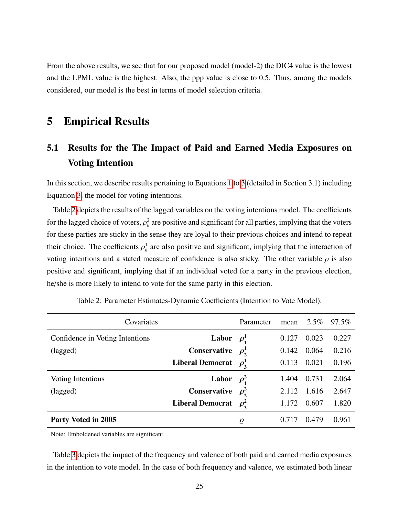From the above results, we see that for our proposed model (model-2) the DIC4 value is the lowest and the LPML value is the highest. Also, the ppp value is close to 0.5. Thus, among the models considered, our model is the best in terms of model selection criteria.

## 5 Empirical Results

## 5.1 Results for the The Impact of Paid and Earned Media Exposures on Voting Intention

In this section, we describe results pertaining to Equations [1](#page-13-1) to [3](#page-14-0) (detailed in Section 3.1) including Equation [3,](#page-14-0) the model for voting intentions.

Table [2](#page-24-0) depicts the results of the lagged variables on the voting intentions model. The coefficients for the lagged choice of voters,  $\rho_k^2$  are positive and significant for all parties, implying that the voters for these parties are sticky in the sense they are loyal to their previous choices and intend to repeat their choice. The coefficients  $\rho_k^1$  are also positive and significant, implying that the interaction of voting intentions and a stated measure of confidence is also sticky. The other variable  $\rho$  is also positive and significant, implying that if an individual voted for a party in the previous election, he/she is more likely to intend to vote for the same party in this election.

<span id="page-24-0"></span>

| Covariates                      |                         | Parameter              | mean  | $2.5\%$ | 97.5% |
|---------------------------------|-------------------------|------------------------|-------|---------|-------|
| Confidence in Voting Intentions | Labor $\rho_1^1$        |                        | 0.127 | 0.023   | 0.227 |
| (lagged)                        | Conservative            | $\rho^I$               | 0.142 | 0.064   | 0.216 |
|                                 | <b>Liberal Democrat</b> | $\rho^{\rm I}$         | 0.113 | 0.021   | 0.196 |
| Voting Intentions               | Labor                   | $\rho_1^2$             | 1.404 | 0.731   | 2.064 |
| (lagged)                        | Conservative            | $\rho^2$               | 2.112 | 1.616   | 2.647 |
|                                 | <b>Liberal Democrat</b> | $\rho^2$               | 1.172 | 0.607   | 1.820 |
| Party Voted in 2005             |                         | $\boldsymbol{\varrho}$ | 0.717 | 0.479   | 0.961 |

| Table 2: Parameter Estimates-Dynamic Coefficients (Intention to Vote Model). |  |
|------------------------------------------------------------------------------|--|
|------------------------------------------------------------------------------|--|

Note: Emboldened variables are significant.

Table [3](#page-26-0) depicts the impact of the frequency and valence of both paid and earned media exposures in the intention to vote model. In the case of both frequency and valence, we estimated both linear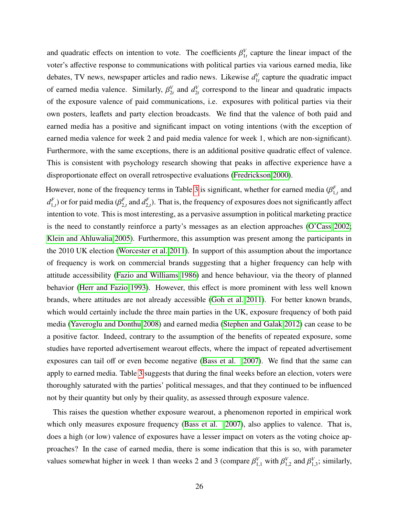and quadratic effects on intention to vote. The coefficients  $\beta_{1i}^V$  $\frac{V}{1t}$  capture the linear impact of the voter's affective response to communications with political parties via various earned media, like debates, TV news, newspaper articles and radio news. Likewise  $d_{1i}^V$  $\frac{V}{1t}$  capture the quadratic impact of earned media valence. Similarly,  $\beta_{2i}^V$  $\frac{V}{2t}$  and  $d_{2i}^V$  $\frac{V}{2t}$  correspond to the linear and quadratic impacts of the exposure valence of paid communications, i.e. exposures with political parties via their own posters, leaflets and party election broadcasts. We find that the valence of both paid and earned media has a positive and significant impact on voting intentions (with the exception of earned media valence for week 2 and paid media valence for week 1, which are non-significant). Furthermore, with the same exceptions, there is an additional positive quadratic effect of valence. This is consistent with psychology research showing that peaks in affective experience have a disproportionate effect on overall retrospective evaluations [\(Fredrickson 2000\)](#page-41-10).

However, none of the frequency terms in Table [3](#page-26-0) is significant, whether for earned media ( $\beta_{1}^F$  $\int_{1,t}^{F}$  and  $d_1^F$  $f_{1,t}^F$ ) or for paid media ( $\beta_{2,t}^F$  $E_{2,t}$  and  $d_{2,t}^F$  $2t_{2,t}$ ). That is, the frequency of exposures does not significantly affect intention to vote. This is most interesting, as a pervasive assumption in political marketing practice is the need to constantly reinforce a party's messages as an election approaches [\(O'Cass 2002;](#page-42-3) [Klein and Ahluwalia 2005\)](#page-42-4). Furthermore, this assumption was present among the participants in the 2010 UK election [\(Worcester et al. 2011\)](#page-43-2). In support of this assumption about the importance of frequency is work on commercial brands suggesting that a higher frequency can help with attitude accessibility [\(Fazio and Williams 1986\)](#page-41-11) and hence behaviour, via the theory of planned behavior [\(Herr and Fazio 1993\)](#page-42-13). However, this effect is more prominent with less well known brands, where attitudes are not already accessible [\(Goh et al. 2011\)](#page-41-3). For better known brands, which would certainly include the three main parties in the UK, exposure frequency of both paid media [\(Yaveroglu and Donthu 2008\)](#page-43-5) and earned media [\(Stephen and Galak 2012\)](#page-43-0) can cease to be a positive factor. Indeed, contrary to the assumption of the benefits of repeated exposure, some studies have reported advertisement wearout effects, where the impact of repeated advertisement exposures can tail off or even become negative [\(Bass et al. 2007\)](#page-40-12). We find that the same can apply to earned media. Table [3](#page-26-0) suggests that during the final weeks before an election, voters were thoroughly saturated with the parties' political messages, and that they continued to be influenced not by their quantity but only by their quality, as assessed through exposure valence.

This raises the question whether exposure wearout, a phenomenon reported in empirical work which only measures exposure frequency [\(Bass et al. 2007\)](#page-40-12), also applies to valence. That is, does a high (or low) valence of exposures have a lesser impact on voters as the voting choice approaches? In the case of earned media, there is some indication that this is so, with parameter values somewhat higher in week 1 than weeks 2 and 3 (compare  $\beta_{1,1}^V$  with  $\beta_{1,2}^V$  $\int_{1,2}^{V}$  and  $\beta_{1}^{V}$  $_{1,3}^V$ ; similarly,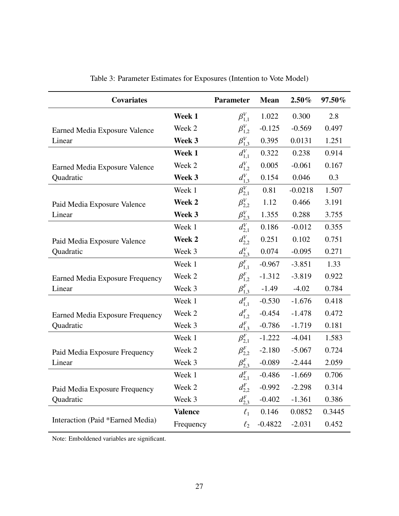<span id="page-26-0"></span>

| <b>Covariates</b>                      |                | <b>Parameter</b> | <b>Mean</b> | $2.50\%$  | 97.50% |
|----------------------------------------|----------------|------------------|-------------|-----------|--------|
|                                        | Week 1         | $\beta^V_{1,1}$  | 1.022       | 0.300     | 2.8    |
| Earned Media Exposure Valence          | Week 2         | $\beta_{1,2}^V$  | $-0.125$    | $-0.569$  | 0.497  |
| Linear                                 | Week 3         | $\beta_{1,3}^V$  | 0.395       | 0.0131    | 1.251  |
|                                        | Week 1         | $d_{1,1}^V$      | 0.322       | 0.238     | 0.914  |
| Earned Media Exposure Valence          | Week 2         | $d_{1,2}^V$      | 0.005       | $-0.061$  | 0.167  |
| Quadratic                              | Week 3         | $d_{1,3}^V$      | 0.154       | 0.046     | 0.3    |
|                                        | Week 1         | $\beta^V_{2,1}$  | 0.81        | $-0.0218$ | 1.507  |
| Paid Media Exposure Valence            | Week 2         | $\beta_{2,2}^V$  | 1.12        | 0.466     | 3.191  |
| Linear                                 | Week 3         | $\beta_{2,3}^V$  | 1.355       | 0.288     | 3.755  |
|                                        | Week 1         | $d_{2,1}^V$      | 0.186       | $-0.012$  | 0.355  |
| Paid Media Exposure Valence            | Week 2         | $d_{2,2}^V$      | 0.251       | 0.102     | 0.751  |
| Quadratic                              | Week 3         | $d_{2,3}^V$      | 0.074       | $-0.095$  | 0.271  |
|                                        | Week 1         | $\beta_{1,1}^F$  | $-0.967$    | $-3.851$  | 1.33   |
| <b>Earned Media Exposure Frequency</b> | Week 2         | $\beta_{1,2}^F$  | $-1.312$    | $-3.819$  | 0.922  |
| Linear                                 | Week 3         | $\beta_{1,3}^F$  | $-1.49$     | $-4.02$   | 0.784  |
|                                        | Week 1         | $d_{1,1}^{F}$    | $-0.530$    | $-1.676$  | 0.418  |
| <b>Earned Media Exposure Frequency</b> | Week 2         | $d_{1,2}^{F}$    | $-0.454$    | $-1.478$  | 0.472  |
| Quadratic                              | Week 3         | $d_{1,3}^{F}$    | $-0.786$    | $-1.719$  | 0.181  |
|                                        | Week 1         | $\beta_{2,1}^F$  | $-1.222$    | $-4.041$  | 1.583  |
| Paid Media Exposure Frequency          | Week 2         | $\beta_{2,2}^F$  | $-2.180$    | $-5.067$  | 0.724  |
| Linear                                 | Week 3         | $\beta_{2,3}^F$  | $-0.089$    | $-2.444$  | 2.059  |
|                                        | Week 1         | $d_{2,1}^{F}$    | $-0.486$    | $-1.669$  | 0.706  |
| Paid Media Exposure Frequency          | Week 2         | $d_{2,2}^{F}$    | $-0.992$    | $-2.298$  | 0.314  |
| Quadratic                              | Week 3         | $d_{2,3}^{F}$    | $-0.402$    | $-1.361$  | 0.386  |
|                                        | <b>Valence</b> | $\ell_1$         | 0.146       | 0.0852    | 0.3445 |
| Interaction (Paid *Earned Media)       | Frequency      | $\ell_2$         | $-0.4822$   | $-2.031$  | 0.452  |

| Table 3: Parameter Estimates for Exposures (Intention to Vote Model) |  |  |  |  |
|----------------------------------------------------------------------|--|--|--|--|
|----------------------------------------------------------------------|--|--|--|--|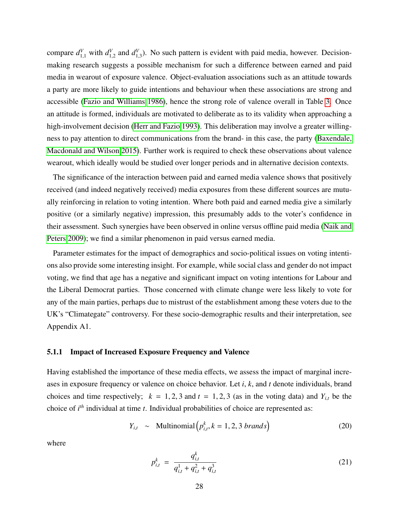compare  $d_{1,1}^V$  with  $d_{1,1}^V$  $_{1,2}^V$  and  $d_{1,2}^V$  $1_{1,3}^V$ ). No such pattern is evident with paid media, however. Decisionmaking research suggests a possible mechanism for such a difference between earned and paid media in wearout of exposure valence. Object-evaluation associations such as an attitude towards a party are more likely to guide intentions and behaviour when these associations are strong and accessible [\(Fazio and Williams 1986\)](#page-41-11), hence the strong role of valence overall in Table [3.](#page-26-0) Once an attitude is formed, individuals are motivated to deliberate as to its validity when approaching a high-involvement decision [\(Herr and Fazio 1993\)](#page-42-13). This deliberation may involve a greater willingness to pay attention to direct communications from the brand- in this case, the party [\(Baxendale,](#page-40-4) [Macdonald and Wilson 2015\)](#page-40-4). Further work is required to check these observations about valence wearout, which ideally would be studied over longer periods and in alternative decision contexts.

The significance of the interaction between paid and earned media valence shows that positively received (and indeed negatively received) media exposures from these different sources are mutually reinforcing in relation to voting intention. Where both paid and earned media give a similarly positive (or a similarly negative) impression, this presumably adds to the voter's confidence in their assessment. Such synergies have been observed in online versus offline paid media [\(Naik and](#page-42-1) [Peters 2009\)](#page-42-1); we find a similar phenomenon in paid versus earned media.

Parameter estimates for the impact of demographics and socio-political issues on voting intentions also provide some interesting insight. For example, while social class and gender do not impact voting, we find that age has a negative and significant impact on voting intentions for Labour and the Liberal Democrat parties. Those concerned with climate change were less likely to vote for any of the main parties, perhaps due to mistrust of the establishment among these voters due to the UK's "Climategate" controversy. For these socio-demographic results and their interpretation, see Appendix A1.

#### 5.1.1 Impact of Increased Exposure Frequency and Valence

Having established the importance of these media effects, we assess the impact of marginal increases in exposure frequency or valence on choice behavior. Let *i*, *k*, and *t* denote individuals, brand choices and time respectively;  $k = 1, 2, 3$  and  $t = 1, 2, 3$  (as in the voting data) and  $Y_{i,t}$  be the choice of *i th* individual at time *t*. Individual probabilities of choice are represented as:

$$
Y_{i,t} \sim \text{Multinomial}\left(p_{i,t}^k, k=1,2,3 \text{ brands}\right) \tag{20}
$$

where

$$
p_{i,t}^k = \frac{q_{i,t}^k}{q_{i,t}^1 + q_{i,t}^2 + q_{i,t}^3}
$$
 (21)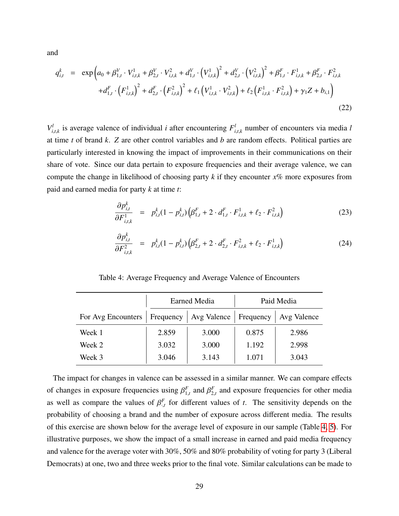and

$$
q_{i,t}^{k} = \exp \left(a_{0} + \beta_{1,t}^{V} \cdot V_{i,t,k}^{1} + \beta_{2,t}^{V} \cdot V_{i,t,k}^{2} + d_{1,t}^{V} \cdot (V_{i,t,k}^{1})^{2} + d_{2,t}^{V} \cdot (V_{i,t,k}^{2})^{2} + \beta_{1,t}^{F} \cdot F_{i,t,k}^{1} + \beta_{2,t}^{F} \cdot F_{i,t,k}^{2} + d_{1,t}^{F} \cdot (F_{i,t,k}^{1})^{2} + d_{2,t}^{F} \cdot (F_{i,t,k}^{2})^{2} + \ell_{1} (V_{i,t,k}^{1} \cdot V_{i,t,k}^{2}) + \ell_{2} (F_{i,t,k}^{1} \cdot F_{i,t,k}^{2}) + \gamma_{1} Z + b_{i,1} \right)
$$
\n(22)

 $V_i^l$  $\sum_{i,t,k}^{l}$  is average valence of individual *i* after encountering  $F_i^l$  $\sum_{i,t,k}^{l}$  number of encounters via media *l* at time *t* of brand *k*. *Z* are other control variables and *b* are random effects. Political parties are particularly interested in knowing the impact of improvements in their communications on their share of vote. Since our data pertain to exposure frequencies and their average valence, we can compute the change in likelihood of choosing party *k* if they encounter *x*% more exposures from paid and earned media for party *k* at time *t*:

<span id="page-28-1"></span>
$$
\frac{\partial p_{i,t}^k}{\partial F_{i,t,k}^1} = p_{i,t}^k (1 - p_{i,t}^k) \left( \beta_{1,t}^F + 2 \cdot d_{1,t}^F \cdot F_{i,t,k}^1 + \ell_2 \cdot F_{i,t,k}^2 \right)
$$
(23)

$$
\frac{\partial p_{i,t}^k}{\partial F_{i,t,k}^2} = p_{i,t}^k (1 - p_{i,t}^k) \left( \beta_{2,t}^F + 2 \cdot d_{2,t}^F \cdot F_{i,t,k}^2 + \ell_2 \cdot F_{i,t,k}^1 \right) \tag{24}
$$

Table 4: Average Frequency and Average Valence of Encounters

<span id="page-28-0"></span>

|                    |           | <b>Earned Media</b> | Paid Media |             |  |
|--------------------|-----------|---------------------|------------|-------------|--|
| For Avg Encounters | Frequency | Avg Valence         | Frequency  | Avg Valence |  |
| Week 1             | 2.859     | 3.000               | 0.875      | 2.986       |  |
| Week 2             | 3.032     | 3.000               | 1.192      | 2.998       |  |
| Week 3             | 3.046     | 3.143               | 1.071      | 3.043       |  |

The impact for changes in valence can be assessed in a similar manner. We can compare effects of changes in exposure frequencies using  $\beta_{1}^F$  $\int_{1,t}^{F}$  and  $\beta_{2,t}^{F}$  $Z_{2,t}$  and exposure frequencies for other media as well as compare the values of  $\beta^F_{,t}$  for different values of *t*. The sensitivity depends on the probability of choosing a brand and the number of exposure across different media. The results of this exercise are shown below for the average level of exposure in our sample (Table [4,](#page-28-0) [5\)](#page-29-0). For illustrative purposes, we show the impact of a small increase in earned and paid media frequency and valence for the average voter with 30%, 50% and 80% probability of voting for party 3 (Liberal Democrats) at one, two and three weeks prior to the final vote. Similar calculations can be made to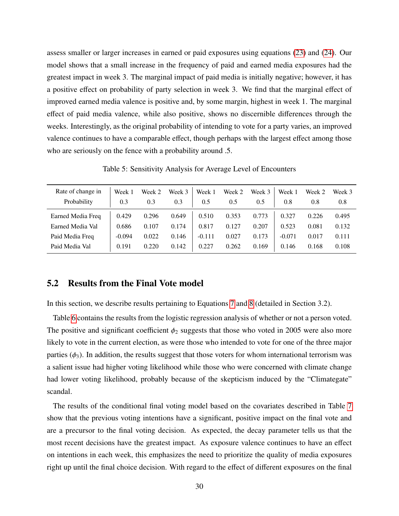assess smaller or larger increases in earned or paid exposures using equations [\(23\)](#page-28-1) and [\(24\)](#page-28-1). Our model shows that a small increase in the frequency of paid and earned media exposures had the greatest impact in week 3. The marginal impact of paid media is initially negative; however, it has a positive effect on probability of party selection in week 3. We find that the marginal effect of improved earned media valence is positive and, by some margin, highest in week 1. The marginal effect of paid media valence, while also positive, shows no discernible differences through the weeks. Interestingly, as the original probability of intending to vote for a party varies, an improved valence continues to have a comparable effect, though perhaps with the largest effect among those who are seriously on the fence with a probability around .5.

<span id="page-29-0"></span>

| Rate of change in | Week 1   | Week 2 | Week 3 | Week 1   | Week 2 | Week 3 | Week 1   | Week 2 | Week 3 |
|-------------------|----------|--------|--------|----------|--------|--------|----------|--------|--------|
| Probability       | 0.3      | 0.3    | 0.3    | 0.5      | 0.5    | 0.5    | 0.8      | 0.8    | 0.8    |
| Earned Media Freq | 0.429    | 0.296  | 0.649  | 0.510    | 0.353  | 0.773  | 0.327    | 0.226  | 0.495  |
| Earned Media Val  | 0.686    | 0.107  | 0.174  | 0.817    | 0.127  | 0.207  | 0.523    | 0.081  | 0.132  |
| Paid Media Freq   | $-0.094$ | 0.022  | 0.146  | $-0.111$ | 0.027  | 0.173  | $-0.071$ | 0.017  | 0.111  |
| Paid Media Val    | 0.191    | 0.220  | 0.142  | 0.227    | 0.262  | 0.169  | 0.146    | 0.168  | 0.108  |

Table 5: Sensitivity Analysis for Average Level of Encounters

#### 5.2 Results from the Final Vote model

In this section, we describe results pertaining to Equations [7](#page-16-0) and [8](#page-16-1) (detailed in Section 3.2).

Table [6](#page-31-0) contains the results from the logistic regression analysis of whether or not a person voted. The positive and significant coefficient  $\phi_2$  suggests that those who voted in 2005 were also more likely to vote in the current election, as were those who intended to vote for one of the three major parties  $(\phi_3)$ . In addition, the results suggest that those voters for whom international terrorism was a salient issue had higher voting likelihood while those who were concerned with climate change had lower voting likelihood, probably because of the skepticism induced by the "Climategate" scandal.

The results of the conditional final voting model based on the covariates described in Table [7](#page-31-1) show that the previous voting intentions have a significant, positive impact on the final vote and are a precursor to the final voting decision. As expected, the decay parameter tells us that the most recent decisions have the greatest impact. As exposure valence continues to have an effect on intentions in each week, this emphasizes the need to prioritize the quality of media exposures right up until the final choice decision. With regard to the effect of different exposures on the final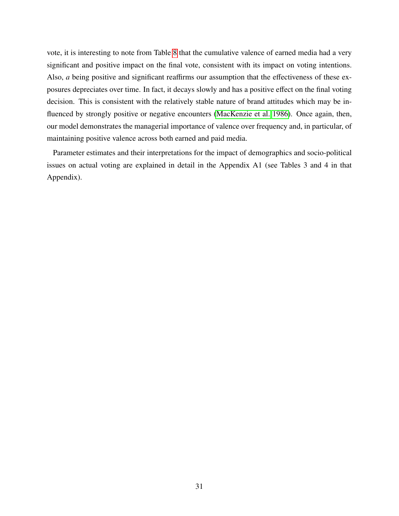vote, it is interesting to note from Table [8](#page-32-0) that the cumulative valence of earned media had a very significant and positive impact on the final vote, consistent with its impact on voting intentions. Also, *a* being positive and significant reaffirms our assumption that the effectiveness of these exposures depreciates over time. In fact, it decays slowly and has a positive effect on the final voting decision. This is consistent with the relatively stable nature of brand attitudes which may be in-fluenced by strongly positive or negative encounters [\(MacKenzie et al. 1986\)](#page-42-14). Once again, then, our model demonstrates the managerial importance of valence over frequency and, in particular, of maintaining positive valence across both earned and paid media.

Parameter estimates and their interpretations for the impact of demographics and socio-political issues on actual voting are explained in detail in the Appendix A1 (see Tables 3 and 4 in that Appendix).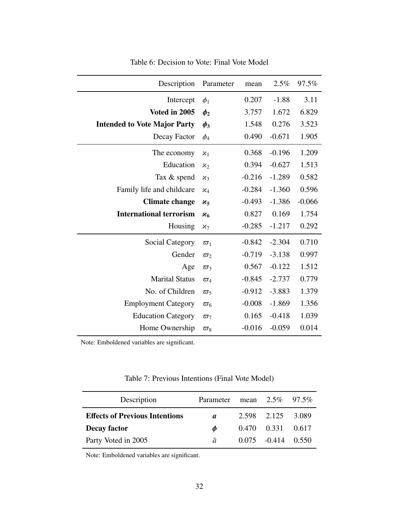<span id="page-31-0"></span>

| Description                         | Parameter             | mean     | 2.5%     | 97.5%    |
|-------------------------------------|-----------------------|----------|----------|----------|
| Intercept                           | $\phi_1$              | 0.207    | $-1.88$  | 3.11     |
| Voted in 2005                       | $\phi_2$              | 3.757    | 1.672    | 6.829    |
| <b>Intended to Vote Major Party</b> | $\phi_3$              | 1.548    | 0.276    | 3.523    |
| Decay Factor                        | $\phi_4$              | 0.490    | $-0.671$ | 1.905    |
| The economy                         | $\mathcal{X}_1$       | 0.368    | $-0.196$ | 1.209    |
| Education                           | $\mathcal{X}_{2}$     | 0.394    | $-0.627$ | 1.513    |
| Tax & spend                         | $\mathcal{X}_3$       | $-0.216$ | $-1.289$ | 0.582    |
| Family life and childcare           | $\mathcal{X}_4$       | $-0.284$ | $-1.360$ | 0.596    |
| <b>Climate change</b>               | $\varkappa_5$         | $-0.493$ | $-1.386$ | $-0.066$ |
| <b>International terrorism</b>      | $\varkappa_6$         | 0.827    | 0.169    | 1.754    |
| Housing                             | $x_7$                 | $-0.285$ | $-1.217$ | 0.292    |
| <b>Social Category</b>              | $\overline{\omega}_1$ | $-0.842$ | $-2.304$ | 0.710    |
| Gender                              | $\overline{\omega}_2$ | $-0.719$ | $-3.138$ | 0.997    |
| Age                                 | $\overline{\omega}_3$ | 0.567    | $-0.122$ | 1.512    |
| <b>Marital Status</b>               | $\overline{\omega}_4$ | $-0.845$ | $-2.737$ | 0.779    |
| No. of Children                     | $\overline{\omega}_5$ | $-0.912$ | $-3.883$ | 1.379    |
| <b>Employment Category</b>          | $\overline{w}_6$      | $-0.008$ | $-1.869$ | 1.356    |
| <b>Education Category</b>           | $\overline{\omega}_7$ | 0.165    | $-0.418$ | 1.039    |
| Home Ownership                      | $\overline{\omega}_8$ | $-0.016$ | $-0.059$ | 0.014    |

Table 6: Decision to Vote: Final Vote Model

Table 7: Previous Intentions (Final Vote Model)

<span id="page-31-1"></span>

| Description                           | Parameter mean | 2.5% 97.5%               |  |
|---------------------------------------|----------------|--------------------------|--|
| <b>Effects of Previous Intentions</b> | a              | 2.598 2.125 3.089        |  |
| Decay factor                          | Ф              | $0.470$ $0.331$ $0.617$  |  |
| Party Voted in 2005                   | Ã              | $0.075$ $-0.414$ $0.550$ |  |

Note: Emboldened variables are significant.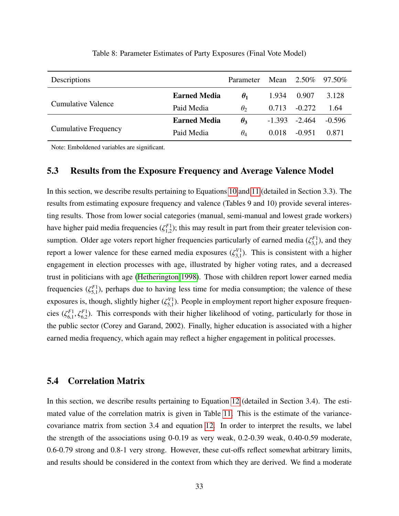<span id="page-32-0"></span>

| Descriptions                |                     | Parameter  |       | Mean $2.50\%$   | 97.50%   |
|-----------------------------|---------------------|------------|-------|-----------------|----------|
|                             | <b>Earned Media</b> | $\theta_1$ | 1.934 | 0.907           | 3.128    |
| Cumulative Valence          | Paid Media          | $\theta_2$ | 0.713 | $-0.272$        | 1.64     |
|                             | <b>Earned Media</b> | $\theta_3$ |       | $-1.393 -2.464$ | $-0.596$ |
| <b>Cumulative Frequency</b> | Paid Media          | $\theta_4$ | 0.018 | $-0.951$        | 0.871    |
|                             |                     |            |       |                 |          |

Table 8: Parameter Estimates of Party Exposures (Final Vote Model)

#### 5.3 Results from the Exposure Frequency and Average Valence Model

In this section, we describe results pertaining to Equations [10](#page-18-0) and [11](#page-18-1) (detailed in Section 3.3). The results from estimating exposure frequency and valence (Tables 9 and 10) provide several interesting results. Those from lower social categories (manual, semi-manual and lowest grade workers) have higher paid media frequencies  $(\zeta_{1,2}^{F1})$  $\binom{F_1}{F_2}$ ; this may result in part from their greater television consumption. Older age voters report higher frequencies particularly of earned media ( $\zeta_{3,1}^{F1}$  $\frac{1}{3,1}$ , and they report a lower valence for these earned media exposures  $({\zeta}^{V1}_{3,1})$  $^{10}$ <sub>3,1</sub>). This is consistent with a higher engagement in election processes with age, illustrated by higher voting rates, and a decreased trust in politicians with age [\(Hetherington 1998\)](#page-41-12). Those with children report lower earned media frequencies  $(\zeta_{5,1}^{F1})$  $5,1$ ), perhaps due to having less time for media consumption; the valence of these exposures is, though, slightly higher  $({\zeta}_{5,1}^{V1})$  $5,1$ ). People in employment report higher exposure frequencies  $(\zeta_{6,1}^{F1})$  $\zeta_{6,1}^{F1}, \zeta_{6,2}^{F1}$ ). This corresponds with their higher likelihood of voting, particularly for those in the public sector (Corey and Garand, 2002). Finally, higher education is associated with a higher earned media frequency, which again may reflect a higher engagement in political processes.

#### 5.4 Correlation Matrix

In this section, we describe results pertaining to Equation [12](#page-19-0) (detailed in Section 3.4). The estimated value of the correlation matrix is given in Table [11.](#page-36-0) This is the estimate of the variancecovariance matrix from section 3.4 and equation [12.](#page-19-0) In order to interpret the results, we label the strength of the associations using 0-0.19 as very weak, 0.2-0.39 weak, 0.40-0.59 moderate, 0.6-0.79 strong and 0.8-1 very strong. However, these cut-offs reflect somewhat arbitrary limits, and results should be considered in the context from which they are derived. We find a moderate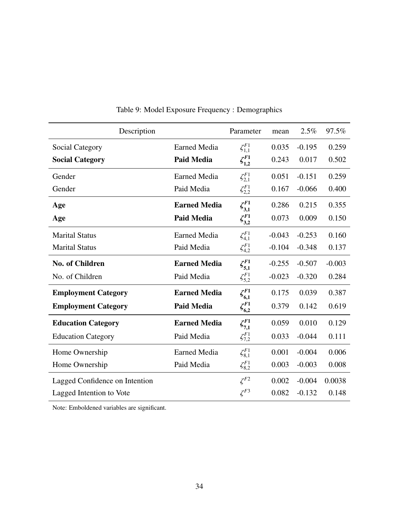| Description                    |                     | Parameter          | mean     | 2.5%     | 97.5%    |
|--------------------------------|---------------------|--------------------|----------|----------|----------|
| <b>Social Category</b>         | <b>Earned Media</b> | $\zeta_{1,1}^{F1}$ | 0.035    | $-0.195$ | 0.259    |
| <b>Social Category</b>         | <b>Paid Media</b>   | $\zeta_{1,2}^{F1}$ | 0.243    | 0.017    | 0.502    |
| Gender                         | <b>Earned Media</b> | $\zeta_{2,1}^{F1}$ | 0.051    | $-0.151$ | 0.259    |
| Gender                         | Paid Media          | $\zeta_{2,2}^{F1}$ | 0.167    | $-0.066$ | 0.400    |
| Age                            | <b>Earned Media</b> | $\zeta_{3,1}^{F1}$ | 0.286    | 0.215    | 0.355    |
| Age                            | <b>Paid Media</b>   | $\zeta_{3,2}^{F1}$ | 0.073    | 0.009    | 0.150    |
| <b>Marital Status</b>          | <b>Earned Media</b> | $\zeta_{4,1}^{F1}$ | $-0.043$ | $-0.253$ | 0.160    |
| <b>Marital Status</b>          | Paid Media          | $\zeta_{4,2}^{F1}$ | $-0.104$ | $-0.348$ | 0.137    |
| <b>No. of Children</b>         | <b>Earned Media</b> | $\zeta_{5,1}^{F1}$ | $-0.255$ | $-0.507$ | $-0.003$ |
| No. of Children                | Paid Media          | $\zeta_{5,2}^{F1}$ | $-0.023$ | $-0.320$ | 0.284    |
| <b>Employment Category</b>     | <b>Earned Media</b> | $\zeta_{6,1}^{F1}$ | 0.175    | 0.039    | 0.387    |
| <b>Employment Category</b>     | <b>Paid Media</b>   | $\zeta_{6,2}^{F1}$ | 0.379    | 0.142    | 0.619    |
| <b>Education Category</b>      | <b>Earned Media</b> | $\zeta_{7,1}^{F1}$ | 0.059    | 0.010    | 0.129    |
| <b>Education Category</b>      | Paid Media          | $\zeta_{7,2}^{F1}$ | 0.033    | $-0.044$ | 0.111    |
| Home Ownership                 | <b>Earned Media</b> | $\zeta_{8,1}^{F1}$ | 0.001    | $-0.004$ | 0.006    |
| Home Ownership                 | Paid Media          | $\zeta_{8,2}^{F1}$ | 0.003    | $-0.003$ | 0.008    |
| Lagged Confidence on Intention |                     | $\zeta^{F2}$       | 0.002    | $-0.004$ | 0.0038   |
| Lagged Intention to Vote       |                     | $\zeta^{F3}$       | 0.082    | $-0.132$ | 0.148    |

Table 9: Model Exposure Frequency : Demographics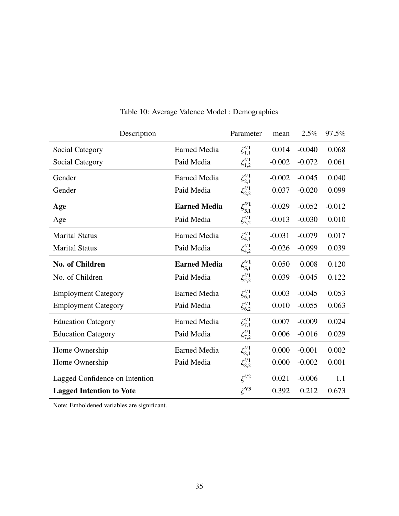| Description                     |                     | Parameter          | mean     | 2.5%     | 97.5%    |
|---------------------------------|---------------------|--------------------|----------|----------|----------|
| <b>Social Category</b>          | <b>Earned Media</b> | $\zeta_{1,1}^{V1}$ | 0.014    | $-0.040$ | 0.068    |
| <b>Social Category</b>          | Paid Media          | $\zeta_{1,2}^{V1}$ | $-0.002$ | $-0.072$ | 0.061    |
| Gender                          | <b>Earned Media</b> | $\zeta_{2,1}^{V1}$ | $-0.002$ | $-0.045$ | 0.040    |
| Gender                          | Paid Media          | $\zeta_{2,2}^{V1}$ | 0.037    | $-0.020$ | 0.099    |
| Age                             | <b>Earned Media</b> | $\zeta_{3,1}^{V1}$ | $-0.029$ | $-0.052$ | $-0.012$ |
| Age                             | Paid Media          | $\zeta_{3,2}^{V1}$ | $-0.013$ | $-0.030$ | 0.010    |
| <b>Marital Status</b>           | <b>Earned Media</b> | $\zeta_{4,1}^{V1}$ | $-0.031$ | $-0.079$ | 0.017    |
| <b>Marital Status</b>           | Paid Media          | $\zeta_{4,2}^{V1}$ | $-0.026$ | $-0.099$ | 0.039    |
| <b>No. of Children</b>          | <b>Earned Media</b> | $\zeta_{5,1}^{V1}$ | 0.050    | 0.008    | 0.120    |
| No. of Children                 | Paid Media          | $\zeta_{5,2}^{V1}$ | 0.039    | $-0.045$ | 0.122    |
| <b>Employment Category</b>      | <b>Earned Media</b> | $\zeta_{6,1}^{V1}$ | 0.003    | $-0.045$ | 0.053    |
| <b>Employment Category</b>      | Paid Media          | $\zeta_{6,2}^{V1}$ | 0.010    | $-0.055$ | 0.063    |
| <b>Education Category</b>       | <b>Earned Media</b> | $\zeta_{7,1}^{V1}$ | 0.007    | $-0.009$ | 0.024    |
| <b>Education Category</b>       | Paid Media          | $\zeta_{7,2}^{V1}$ | 0.006    | $-0.016$ | 0.029    |
| Home Ownership                  | <b>Earned Media</b> | $\zeta_{8,1}^{V1}$ | 0.000    | $-0.001$ | 0.002    |
| Home Ownership                  | Paid Media          | $\zeta_{8,2}^{V1}$ | 0.000    | $-0.002$ | 0.001    |
| Lagged Confidence on Intention  |                     | $\zeta^{V2}$       | 0.021    | $-0.006$ | 1.1      |
| <b>Lagged Intention to Vote</b> |                     | $\zeta^{V3}$       | 0.392    | 0.212    | 0.673    |

Table 10: Average Valence Model : Demographics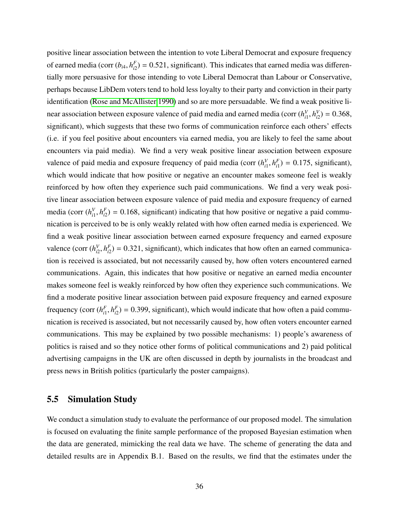positive linear association between the intention to vote Liberal Democrat and exposure frequency of earned media (corr  $(b_{i4}, h_{i2}^F)$  $I<sub>i2</sub><sup>F</sup>$ ) = 0.521, significant). This indicates that earned media was differentially more persuasive for those intending to vote Liberal Democrat than Labour or Conservative, perhaps because LibDem voters tend to hold less loyalty to their party and conviction in their party identification [\(Rose and McAllister 1990\)](#page-43-8) and so are more persuadable. We find a weak positive linear association between exposure valence of paid media and earned media (corr  $(h_{i,j}^V)$  $\frac{V}{i1}$ ,  $h_{i2}^V$  $\binom{V}{i^2} = 0.368,$ significant), which suggests that these two forms of communication reinforce each others' effects (i.e. if you feel positive about encounters via earned media, you are likely to feel the same about encounters via paid media). We find a very weak positive linear association between exposure valence of paid media and exposure frequency of paid media (corr  $(h_{i,j}^V)$  $\binom{V}{i1}, h_{i1}^F$  $f'_{i1}$ ) = 0.175, significant), which would indicate that how positive or negative an encounter makes someone feel is weakly reinforced by how often they experience such paid communications. We find a very weak positive linear association between exposure valence of paid media and exposure frequency of earned media (corr  $(h_{i1}^V)$  $\sum_{i=1}^{V} h_{i2}^{F}$  $i_2$ <sup> $i_1$ </sup>) = 0.168, significant) indicating that how positive or negative a paid communication is perceived to be is only weakly related with how often earned media is experienced. We find a weak positive linear association between earned exposure frequency and earned exposure valence (corr  $(h^V_{\hat{v}})$  $\frac{V}{i2}$ ,  $h_{i2}^F$  $f'_{i2}$ ) = 0.321, significant), which indicates that how often an earned communication is received is associated, but not necessarily caused by, how often voters encountered earned communications. Again, this indicates that how positive or negative an earned media encounter makes someone feel is weakly reinforced by how often they experience such communications. We find a moderate positive linear association between paid exposure frequency and earned exposure frequency (corr (*h F*  $\binom{F}{i1}$ ,  $h_{i2}^F$  $f'_{i2}$ ) = 0.399, significant), which would indicate that how often a paid communication is received is associated, but not necessarily caused by, how often voters encounter earned communications. This may be explained by two possible mechanisms: 1) people's awareness of politics is raised and so they notice other forms of political communications and 2) paid political advertising campaigns in the UK are often discussed in depth by journalists in the broadcast and press news in British politics (particularly the poster campaigns).

#### 5.5 Simulation Study

We conduct a simulation study to evaluate the performance of our proposed model. The simulation is focused on evaluating the finite sample performance of the proposed Bayesian estimation when the data are generated, mimicking the real data we have. The scheme of generating the data and detailed results are in Appendix B.1. Based on the results, we find that the estimates under the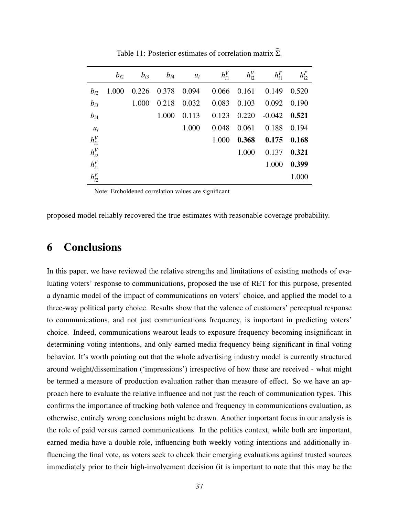<span id="page-36-0"></span>

|            | $b_{i2}$ | $b_{i3}$ |                   | $b_{i4}$ $u_i$ |       |               | $h_{i1}^V$ $h_{i2}^V$ $h_{i1}^F$ | $h_{i2}^F$ |
|------------|----------|----------|-------------------|----------------|-------|---------------|----------------------------------|------------|
| $b_{i2}$   | 1.000    |          | 0.226 0.378 0.094 |                |       |               | $0.066$ $0.161$ $0.149$          | 0.520      |
| $b_{i3}$   |          | 1.000    | 0.218             | 0.032          |       |               | $0.083$ $0.103$ $0.092$          | 0.190      |
| $b_{i4}$   |          |          | 1.000             | 0.113          |       | $0.123$ 0.220 | $-0.042$ 0.521                   |            |
| $u_i$      |          |          |                   | 1.000          | 0.048 |               | $0.061$ $0.188$ $0.194$          |            |
| $h_{i1}^V$ |          |          |                   |                | 1.000 | 0.368         | $0.175$ $0.168$                  |            |
| $h^V_{i2}$ |          |          |                   |                |       | 1.000         | 0.137                            | 0.321      |
| $h_{i1}^F$ |          |          |                   |                |       |               | 1.000                            | 0.399      |
| $h_{i2}^F$ |          |          |                   |                |       |               |                                  | 1.000      |

Table 11: Posterior estimates of correlation matrix  $\widehat{\Sigma}$ .

Note: Emboldened correlation values are significant

proposed model reliably recovered the true estimates with reasonable coverage probability.

## 6 Conclusions

In this paper, we have reviewed the relative strengths and limitations of existing methods of evaluating voters' response to communications, proposed the use of RET for this purpose, presented a dynamic model of the impact of communications on voters' choice, and applied the model to a three-way political party choice. Results show that the valence of customers' perceptual response to communications, and not just communications frequency, is important in predicting voters' choice. Indeed, communications wearout leads to exposure frequency becoming insignificant in determining voting intentions, and only earned media frequency being significant in final voting behavior. It's worth pointing out that the whole advertising industry model is currently structured around weight/dissemination ('impressions') irrespective of how these are received - what might be termed a measure of production evaluation rather than measure of effect. So we have an approach here to evaluate the relative influence and not just the reach of communication types. This confirms the importance of tracking both valence and frequency in communications evaluation, as otherwise, entirely wrong conclusions might be drawn. Another important focus in our analysis is the role of paid versus earned communications. In the politics context, while both are important, earned media have a double role, influencing both weekly voting intentions and additionally influencing the final vote, as voters seek to check their emerging evaluations against trusted sources immediately prior to their high-involvement decision (it is important to note that this may be the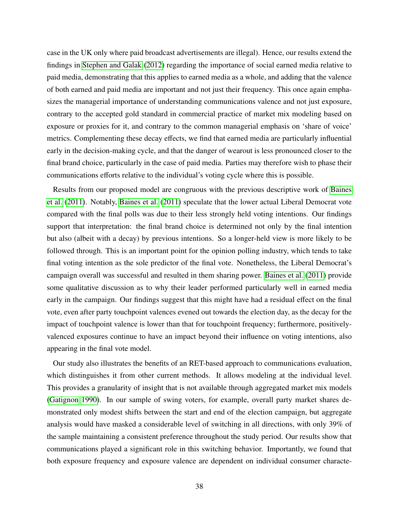case in the UK only where paid broadcast advertisements are illegal). Hence, our results extend the findings in [Stephen and Galak](#page-43-0) [\(2012\)](#page-43-0) regarding the importance of social earned media relative to paid media, demonstrating that this applies to earned media as a whole, and adding that the valence of both earned and paid media are important and not just their frequency. This once again emphasizes the managerial importance of understanding communications valence and not just exposure, contrary to the accepted gold standard in commercial practice of market mix modeling based on exposure or proxies for it, and contrary to the common managerial emphasis on 'share of voice' metrics. Complementing these decay effects, we find that earned media are particularly influential early in the decision-making cycle, and that the danger of wearout is less pronounced closer to the final brand choice, particularly in the case of paid media. Parties may therefore wish to phase their communications efforts relative to the individual's voting cycle where this is possible.

Results from our proposed model are congruous with the previous descriptive work of [Baines](#page-40-3) [et al.](#page-40-3) [\(2011\)](#page-40-3). Notably, [Baines et al.](#page-40-3) [\(2011\)](#page-40-3) speculate that the lower actual Liberal Democrat vote compared with the final polls was due to their less strongly held voting intentions. Our findings support that interpretation: the final brand choice is determined not only by the final intention but also (albeit with a decay) by previous intentions. So a longer-held view is more likely to be followed through. This is an important point for the opinion polling industry, which tends to take final voting intention as the sole predictor of the final vote. Nonetheless, the Liberal Democrat's campaign overall was successful and resulted in them sharing power. [Baines et al.](#page-40-3) [\(2011\)](#page-40-3) provide some qualitative discussion as to why their leader performed particularly well in earned media early in the campaign. Our findings suggest that this might have had a residual effect on the final vote, even after party touchpoint valences evened out towards the election day, as the decay for the impact of touchpoint valence is lower than that for touchpoint frequency; furthermore, positivelyvalenced exposures continue to have an impact beyond their influence on voting intentions, also appearing in the final vote model.

Our study also illustrates the benefits of an RET-based approach to communications evaluation, which distinguishes it from other current methods. It allows modeling at the individual level. This provides a granularity of insight that is not available through aggregated market mix models [\(Gatignon 1990\)](#page-41-13). In our sample of swing voters, for example, overall party market shares demonstrated only modest shifts between the start and end of the election campaign, but aggregate analysis would have masked a considerable level of switching in all directions, with only 39% of the sample maintaining a consistent preference throughout the study period. Our results show that communications played a significant role in this switching behavior. Importantly, we found that both exposure frequency and exposure valence are dependent on individual consumer characte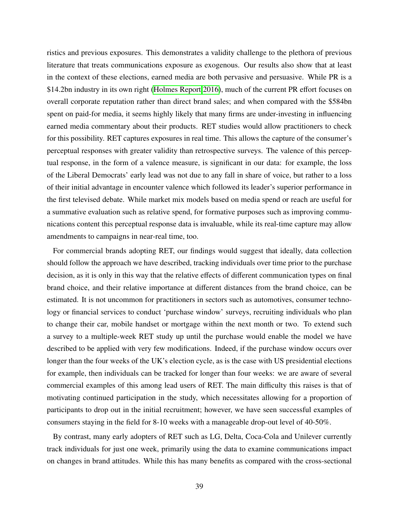ristics and previous exposures. This demonstrates a validity challenge to the plethora of previous literature that treats communications exposure as exogenous. Our results also show that at least in the context of these elections, earned media are both pervasive and persuasive. While PR is a \$14.2bn industry in its own right [\(Holmes Report 2016\)](#page-42-15), much of the current PR effort focuses on overall corporate reputation rather than direct brand sales; and when compared with the \$584bn spent on paid-for media, it seems highly likely that many firms are under-investing in influencing earned media commentary about their products. RET studies would allow practitioners to check for this possibility. RET captures exposures in real time. This allows the capture of the consumer's perceptual responses with greater validity than retrospective surveys. The valence of this perceptual response, in the form of a valence measure, is significant in our data: for example, the loss of the Liberal Democrats' early lead was not due to any fall in share of voice, but rather to a loss of their initial advantage in encounter valence which followed its leader's superior performance in the first televised debate. While market mix models based on media spend or reach are useful for a summative evaluation such as relative spend, for formative purposes such as improving communications content this perceptual response data is invaluable, while its real-time capture may allow amendments to campaigns in near-real time, too.

For commercial brands adopting RET, our findings would suggest that ideally, data collection should follow the approach we have described, tracking individuals over time prior to the purchase decision, as it is only in this way that the relative effects of different communication types on final brand choice, and their relative importance at different distances from the brand choice, can be estimated. It is not uncommon for practitioners in sectors such as automotives, consumer technology or financial services to conduct 'purchase window' surveys, recruiting individuals who plan to change their car, mobile handset or mortgage within the next month or two. To extend such a survey to a multiple-week RET study up until the purchase would enable the model we have described to be applied with very few modifications. Indeed, if the purchase window occurs over longer than the four weeks of the UK's election cycle, as is the case with US presidential elections for example, then individuals can be tracked for longer than four weeks: we are aware of several commercial examples of this among lead users of RET. The main difficulty this raises is that of motivating continued participation in the study, which necessitates allowing for a proportion of participants to drop out in the initial recruitment; however, we have seen successful examples of consumers staying in the field for 8-10 weeks with a manageable drop-out level of 40-50%.

By contrast, many early adopters of RET such as LG, Delta, Coca-Cola and Unilever currently track individuals for just one week, primarily using the data to examine communications impact on changes in brand attitudes. While this has many benefits as compared with the cross-sectional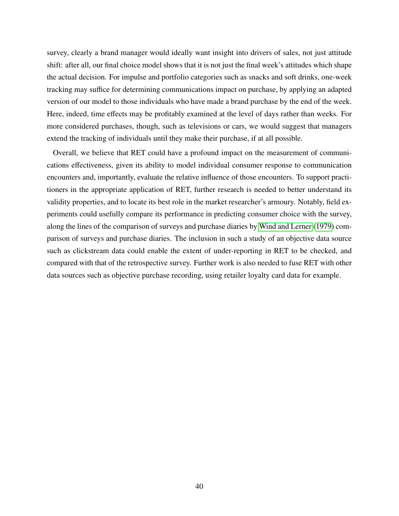survey, clearly a brand manager would ideally want insight into drivers of sales, not just attitude shift: after all, our final choice model shows that it is not just the final week's attitudes which shape the actual decision. For impulse and portfolio categories such as snacks and soft drinks, one-week tracking may suffice for determining communications impact on purchase, by applying an adapted version of our model to those individuals who have made a brand purchase by the end of the week. Here, indeed, time effects may be profitably examined at the level of days rather than weeks. For more considered purchases, though, such as televisions or cars, we would suggest that managers extend the tracking of individuals until they make their purchase, if at all possible.

Overall, we believe that RET could have a profound impact on the measurement of communications effectiveness, given its ability to model individual consumer response to communication encounters and, importantly, evaluate the relative influence of those encounters. To support practitioners in the appropriate application of RET, further research is needed to better understand its validity properties, and to locate its best role in the market researcher's armoury. Notably, field experiments could usefully compare its performance in predicting consumer choice with the survey, along the lines of the comparison of surveys and purchase diaries by [Wind and Lerner](#page-43-3) [\(1979\)](#page-43-3) comparison of surveys and purchase diaries. The inclusion in such a study of an objective data source such as clickstream data could enable the extent of under-reporting in RET to be checked, and compared with that of the retrospective survey. Further work is also needed to fuse RET with other data sources such as objective purchase recording, using retailer loyalty card data for example.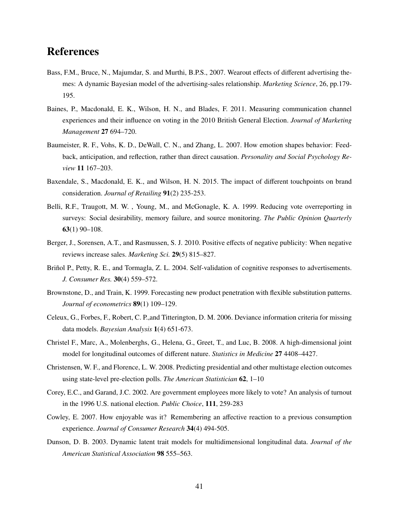## References

- <span id="page-40-12"></span>Bass, F.M., Bruce, N., Majumdar, S. and Murthi, B.P.S., 2007. Wearout effects of different advertising themes: A dynamic Bayesian model of the advertising-sales relationship. *Marketing Science*, 26, pp.179- 195.
- <span id="page-40-3"></span>Baines, P., Macdonald, E. K., Wilson, H. N., and Blades, F. 2011. Measuring communication channel experiences and their influence on voting in the 2010 British General Election. *Journal of Marketing Management* 27 694–720.
- <span id="page-40-7"></span>Baumeister, R. F., Vohs, K. D., DeWall, C. N., and Zhang, L. 2007. How emotion shapes behavior: Feedback, anticipation, and reflection, rather than direct causation. *Personality and Social Psychology Review* 11 167–203.
- <span id="page-40-4"></span>Baxendale, S., Macdonald, E. K., and Wilson, H. N. 2015. The impact of different touchpoints on brand consideration. *Journal of Retailing* 91(2) 235-253.
- <span id="page-40-2"></span>Belli, R.F., Traugott, M. W. , Young, M., and McGonagle, K. A. 1999. Reducing vote overreporting in surveys: Social desirability, memory failure, and source monitoring. *The Public Opinion Quarterly* 63(1) 90–108.
- <span id="page-40-6"></span>Berger, J., Sorensen, A.T., and Rasmussen, S. J. 2010. Positive effects of negative publicity: When negative reviews increase sales. *Marketing Sci.* 29(5) 815–827.
- <span id="page-40-1"></span>Briñol P., Petty, R. E., and Tormagla, Z. L. 2004. Self-validation of cognitive responses to advertisements. *J. Consumer Res.* 30(4) 559–572.
- <span id="page-40-10"></span>Brownstone, D., and Train, K. 1999. Forecasting new product penetration with flexible substitution patterns. *Journal of econometrics* 89(1) 109–129.
- <span id="page-40-11"></span>Celeux, G., Forbes, F., Robert, C. P.,and Titterington, D. M. 2006. Deviance information criteria for missing data models. *Bayesian Analysis* 1(4) 651-673.
- <span id="page-40-9"></span>Christel F., Marc, A., Molenberghs, G., Helena, G., Greet, T., and Luc, B. 2008. A high-dimensional joint model for longitudinal outcomes of different nature. *Statistics in Medicine* 27 4408–4427.
- <span id="page-40-0"></span>Christensen, W. F., and Florence, L. W. 2008. Predicting presidential and other multistage election outcomes using state-level pre-election polls. *The American Statistician* 62, 1–10
- Corey, E.C., and Garand, J.C. 2002. Are government employees more likely to vote? An analysis of turnout in the 1996 U.S. national election. *Public Choice*, 111, 259-283
- <span id="page-40-5"></span>Cowley, E. 2007. How enjoyable was it? Remembering an affective reaction to a previous consumption experience. *Journal of Consumer Research* 34(4) 494-505.
- <span id="page-40-8"></span>Dunson, D. B. 2003. Dynamic latent trait models for multidimensional longitudinal data. *Journal of the American Statistical Association* 98 555–563.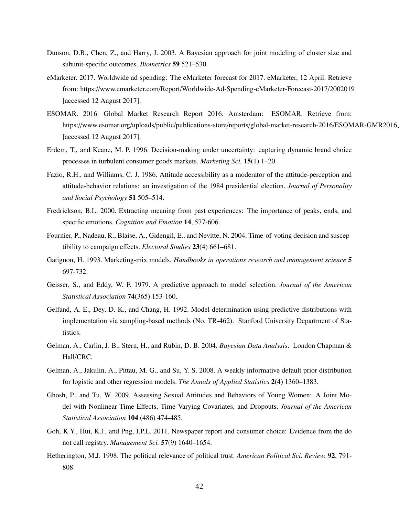- <span id="page-41-5"></span>Dunson, D.B., Chen, Z., and Harry, J. 2003. A Bayesian approach for joint modeling of cluster size and subunit-specific outcomes. *Biometrics* 59 521–530.
- <span id="page-41-0"></span>eMarketer. 2017. Worldwide ad spending: The eMarketer forecast for 2017. eMarketer, 12 April. Retrieve from: https://www.emarketer.com/Report/Worldwide-Ad-Spending-eMarketer-Forecast-2017/2002019 [accessed 12 August 2017].
- <span id="page-41-1"></span>ESOMAR. 2016. Global Market Research Report 2016. Amsterdam: ESOMAR. Retrieve from: https://www.esomar.org/uploads/public/publications-store/reports/global-market-research-2016/ESOMAR-GMR2016 [accessed 12 August 2017].
- <span id="page-41-6"></span>Erdem, T., and Keane, M. P. 1996. Decision-making under uncertainty: capturing dynamic brand choice processes in turbulent consumer goods markets. *Marketing Sci.* 15(1) 1–20.
- <span id="page-41-11"></span>Fazio, R.H., and Williams, C. J. 1986. Attitude accessibility as a moderator of the attitude-perception and attitude-behavior relations: an investigation of the 1984 presidential election. *Journal of Personality and Social Psychology* 51 505–514.
- <span id="page-41-10"></span>Fredrickson, B.L. 2000. Extracting meaning from past experiences: The importance of peaks, ends, and specific emotions. *Cognition and Emotion* 14, 577-606.
- <span id="page-41-4"></span>Fournier, P., Nadeau, R., Blaise, A., Gidengil, E., and Nevitte, N. 2004. Time-of-voting decision and susceptibility to campaign effects. *Electoral Studies* 23(4) 661–681.
- <span id="page-41-13"></span>Gatignon, H. 1993. Marketing-mix models. *Handbooks in operations research and management science* 5 697-732.
- <span id="page-41-8"></span>Geisser, S., and Eddy, W. F. 1979. A predictive approach to model selection. *Journal of the American Statistical Association* 74(365) 153-160.
- Gelfand, A. E., Dey, D. K., and Chang, H. 1992. Model determination using predictive distributions with implementation via sampling-based methods (No. TR-462). Stanford University Department of Statistics.
- <span id="page-41-9"></span>Gelman, A., Carlin, J. B., Stern, H., and Rubin, D. B. 2004. *Bayesian Data Analysis*. London Chapman & Hall/CRC.
- <span id="page-41-2"></span>Gelman, A., Jakulin, A., Pittau, M. G., and Su, Y. S. 2008. A weakly informative default prior distribution for logistic and other regression models. *The Annals of Applied Statistics* 2(4) 1360–1383.
- <span id="page-41-7"></span>Ghosh, P., and Tu, W. 2009. Assessing Sexual Attitudes and Behaviors of Young Women: A Joint Model with Nonlinear Time Effects, Time Varying Covariates, and Dropouts. *Journal of the American Statistical Association* 104 (486) 474-485.
- <span id="page-41-3"></span>Goh, K.Y., Hui, K.l., and Png, I.P.L. 2011. Newspaper report and consumer choice: Evidence from the do not call registry. *Management Sci.* 57(9) 1640–1654.
- <span id="page-41-12"></span>Hetherington, M.J. 1998. The political relevance of political trust. *American Political Sci. Review.* 92, 791- 808.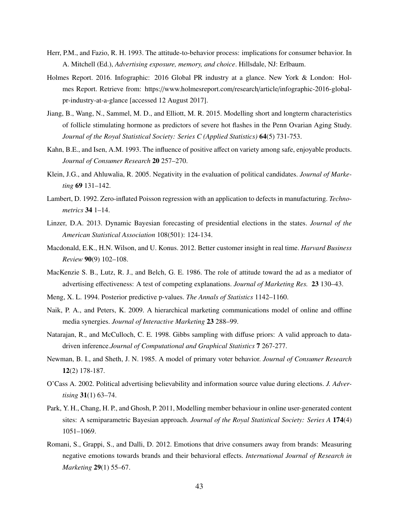- <span id="page-42-13"></span>Herr, P.M., and Fazio, R. H. 1993. The attitude-to-behavior process: implications for consumer behavior. In A. Mitchell (Ed.), *Advertising exposure, memory, and choice*. Hillsdale, NJ: Erlbaum.
- <span id="page-42-15"></span>Holmes Report. 2016. Infographic: 2016 Global PR industry at a glance. New York & London: Holmes Report. Retrieve from: https://www.holmesreport.com/research/article/infographic-2016-globalpr-industry-at-a-glance [accessed 12 August 2017].
- <span id="page-42-11"></span>Jiang, B., Wang, N., Sammel, M. D., and Elliott, M. R. 2015. Modelling short and longterm characteristics of follicle stimulating hormone as predictors of severe hot flashes in the Penn Ovarian Aging Study. *Journal of the Royal Statistical Society: Series C (Applied Statistics)* 64(5) 731-753.
- <span id="page-42-6"></span>Kahn, B.E., and Isen, A.M. 1993. The influence of positive affect on variety among safe, enjoyable products. *Journal of Consumer Research* 20 257–270.
- <span id="page-42-4"></span>Klein, J.G., and Ahluwalia, R. 2005. Negativity in the evaluation of political candidates. *Journal of Marketing* 69 131–142.
- <span id="page-42-9"></span>Lambert, D. 1992. Zero-inflated Poisson regression with an application to defects in manufacturing. *Technometrics* 34 1–14.
- <span id="page-42-0"></span>Linzer, D.A. 2013. Dynamic Bayesian forecasting of presidential elections in the states. *Journal of the American Statistical Association* 108(501): 124-134.
- <span id="page-42-2"></span>Macdonald, E.K., H.N. Wilson, and U. Konus. 2012. Better customer insight in real time. *Harvard Business Review* 90(9) 102–108.
- <span id="page-42-14"></span>MacKenzie S. B., Lutz, R. J., and Belch, G. E. 1986. The role of attitude toward the ad as a mediator of advertising effectiveness: A test of competing explanations. *Journal of Marketing Res.* 23 130–43.
- <span id="page-42-12"></span>Meng, X. L. 1994. Posterior predictive p-values. *The Annals of Statistics* 1142–1160.
- <span id="page-42-1"></span>Naik, P. A., and Peters, K. 2009. A hierarchical marketing communications model of online and offline media synergies. *Journal of Interactive Marketing* 23 288–99.
- <span id="page-42-10"></span>Natarajan, R., and McCulloch, C. E. 1998. Gibbs sampling with diffuse priors: A valid approach to datadriven inference.*Journal of Computational and Graphical Statistics* 7 267-277.
- <span id="page-42-5"></span>Newman, B. I., and Sheth, J. N. 1985. A model of primary voter behavior. *Journal of Consumer Research* 12(2) 178-187.
- <span id="page-42-3"></span>O'Cass A. 2002. Political advertising believability and information source value during elections. *J. Advertising* 31(1) 63–74.
- <span id="page-42-8"></span>Park, Y. H., Chang, H. P., and Ghosh, P. 2011, Modelling member behaviour in online user-generated content sites: A semiparametric Bayesian approach. *Journal of the Royal Statistical Society: Series A* 174(4) 1051–1069.
- <span id="page-42-7"></span>Romani, S., Grappi, S., and Dalli, D. 2012. Emotions that drive consumers away from brands: Measuring negative emotions towards brands and their behavioral effects. *International Journal of Research in Marketing* 29(1) 55–67.